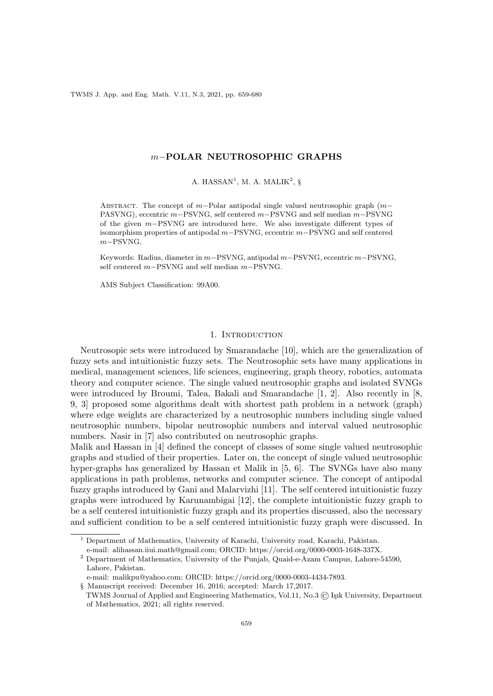TWMS J. App. and Eng. Math. V.11, N.3, 2021, pp. 659-680

### m−POLAR NEUTROSOPHIC GRAPHS

A. HASSAN<sup>1</sup>, M. A. MALIK<sup>2</sup>, §

ABSTRACT. The concept of m–Polar antipodal single valued neutrosophic graph  $(m-$ PASVNG), eccentric m−PSVNG, self centered m−PSVNG and self median m−PSVNG of the given m−PSVNG are introduced here. We also investigate different types of isomorphism properties of antipodal m−PSVNG, eccentric m−PSVNG and self centered m−PSVNG.

Keywords: Radius, diameter in m−PSVNG, antipodal m−PSVNG, eccentric m−PSVNG, self centered m−PSVNG and self median m−PSVNG.

AMS Subject Classification: 99A00.

## 1. INTRODUCTION

Neutrosopic sets were introduced by Smarandache [10], which are the generalization of fuzzy sets and intuitionistic fuzzy sets. The Neutrosophic sets have many applications in medical, management sciences, life sciences, engineering, graph theory, robotics, automata theory and computer science. The single valued neutrosophic graphs and isolated SVNGs were introduced by Broumi, Talea, Bakali and Smarandache [1, 2]. Also recently in [8, 9, 3] proposed some algorithms dealt with shortest path problem in a network (graph) where edge weights are characterized by a neutrosophic numbers including single valued neutrosophic numbers, bipolar neutrosophic numbers and interval valued neutrosophic numbers. Nasir in [7] also contributed on neutrosophic graphs.

Malik and Hassan in [4] defined the concept of classes of some single valued neutrosophic graphs and studied of their properties. Later on, the concept of single valued neutrosophic hyper-graphs has generalized by Hassan et Malik in [5, 6]. The SVNGs have also many applications in path problems, networks and computer science. The concept of antipodal fuzzy graphs introduced by Gani and Malarvizhi [11]. The self centered intuitionistic fuzzy graphs were introduced by Karunambigai [12], the complete intuitionistic fuzzy graph to be a self centered intuitionistic fuzzy graph and its properties discussed, also the necessary and sufficient condition to be a self centered intuitionistic fuzzy graph were discussed. In

<sup>1</sup> Department of Mathematics, University of Karachi, University road, Karachi, Pakistan. e-mail: alihassan.iiui.math@gmail.com; ORCID: https://orcid.org/0000-0003-1648-337X.

<sup>2</sup> Department of Mathematics, University of the Punjab, Quaid-e-Azam Campus, Lahore-54590, Lahore, Pakistan.

e-mail: malikpu@yahoo.com; ORCID: https://orcid.org/0000-0003-4434-7893.

<sup>§</sup> Manuscript received: December 16, 2016; accepted: March 17,2017.

TWMS Journal of Applied and Engineering Mathematics, Vol.11, No.3 (C) Isik University, Department of Mathematics, 2021; all rights reserved.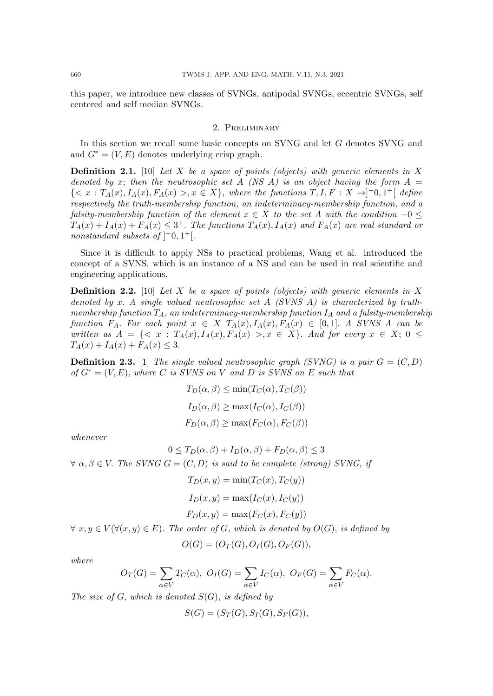this paper, we introduce new classes of SVNGs, antipodal SVNGs, eccentric SVNGs, self centered and self median SVNGs.

#### 2. Preliminary

In this section we recall some basic concepts on SVNG and let  $G$  denotes SVNG and and  $G^* = (V, E)$  denotes underlying crisp graph.

**Definition 2.1.** [10] Let X be a space of points (objects) with generic elements in X denoted by x; then the neutrosophic set A (NS A) is an object having the form  $A =$  ${ < x : T_A(x), I_A(x), F_A(x) > , x \in X}$ , where the functions  $T, I, F: X \rightarrow ]-0, 1^+[$  define respectively the truth-membership function, an indeterminacy-membership function, and a falsity-membership function of the element  $x \in X$  to the set A with the condition  $-0 \leq$  $T_A(x) + I_A(x) + F_A(x) \leq 3^+$ . The functions  $T_A(x)$ ,  $I_A(x)$  and  $F_A(x)$  are real standard or nonstandard subsets of  $\vert$ <sup>-</sup>0, 1<sup>+</sup>[.

Since it is difficult to apply NSs to practical problems, Wang et al. introduced the concept of a SVNS, which is an instance of a NS and can be used in real scientific and engineering applications.

**Definition 2.2.** [10] Let X be a space of points (objects) with generic elements in X denoted by x. A single valued neutrosophic set  $A$  (SVNS  $A$ ) is characterized by truthmembership function  $T_A$ , an indeterminacy-membership function  $I_A$  and a falsity-membership function  $F_A$ . For each point  $x \in X$   $T_A(x)$ ,  $I_A(x)$ ,  $F_A(x) \in [0,1]$ . A SVNS A can be written as  $A = \{ \langle x : T_A(x), I_A(x), F_A(x) \rangle, x \in X \}$ . And for every  $x \in X$ ;  $0 \le$  $T_A(x) + I_A(x) + F_A(x) \leq 3.$ 

**Definition 2.3.** [1] The single valued neutrosophic graph (SVNG) is a pair  $G = (C, D)$ of  $G^* = (V, E)$ , where C is SVNS on V and D is SVNS on E such that

$$
T_D(\alpha, \beta) \le \min(T_C(\alpha), T_C(\beta))
$$
  
\n
$$
I_D(\alpha, \beta) \ge \max(I_C(\alpha), I_C(\beta))
$$
  
\n
$$
F_D(\alpha, \beta) \ge \max(F_C(\alpha), F_C(\beta))
$$

whenever

$$
0 \le T_D(\alpha, \beta) + I_D(\alpha, \beta) + F_D(\alpha, \beta) \le 3
$$
  

$$
\forall \alpha, \beta \in V. \text{ The SVMG } G = (C, D) \text{ is said to be complete (strong) SVMG, if}
$$
  

$$
T_D(x, y) = \min(T_C(x), T_C(y))
$$

$$
I_D(x, y) = \max(I_C(x), I_C(y))
$$
  

$$
F_D(x, y) = \max(F_C(x), F_C(y))
$$

 $\forall x, y \in V(\forall (x, y) \in E)$ . The order of G, which is denoted by  $O(G)$ , is defined by

$$
O(G) = (O_T(G), O_I(G), O_F(G)),
$$

where

$$
O_T(G) = \sum_{\alpha \in V} T_C(\alpha), \ O_I(G) = \sum_{\alpha \in V} I_C(\alpha), \ O_F(G) = \sum_{\alpha \in V} F_C(\alpha).
$$

The size of G, which is denoted  $S(G)$ , is defined by

$$
S(G) = (S_T(G), S_I(G), S_F(G)),
$$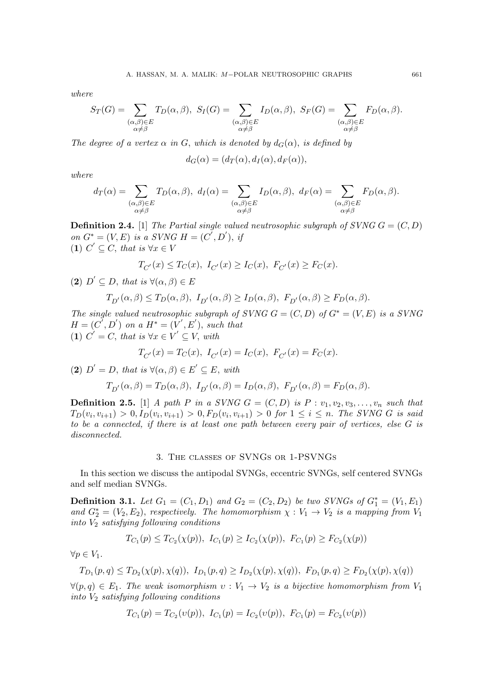where

$$
S_T(G) = \sum_{\substack{(\alpha,\beta)\in E\\ \alpha\neq\beta}} T_D(\alpha,\beta), \ S_I(G) = \sum_{\substack{(\alpha,\beta)\in E\\ \alpha\neq\beta}} I_D(\alpha,\beta), \ S_F(G) = \sum_{\substack{(\alpha,\beta)\in E\\ \alpha\neq\beta}} F_D(\alpha,\beta).
$$

The degree of a vertex  $\alpha$  in G, which is denoted by  $d_G(\alpha)$ , is defined by

$$
d_G(\alpha) = (d_T(\alpha), d_I(\alpha), d_F(\alpha)),
$$

where

$$
d_T(\alpha) = \sum_{\substack{(\alpha,\beta) \in E \\ \alpha \neq \beta}} T_D(\alpha,\beta), \ d_I(\alpha) = \sum_{\substack{(\alpha,\beta) \in E \\ \alpha \neq \beta}} I_D(\alpha,\beta), \ d_F(\alpha) = \sum_{\substack{(\alpha,\beta) \in E \\ \alpha \neq \beta}} F_D(\alpha,\beta).
$$

**Definition 2.4.** [1] The Partial single valued neutrosophic subgraph of SVNG  $G = (C, D)$ on  $G^* = (V, E)$  is a SVNG  $H = (C', D'), i$ (1)  $C' \subseteq C$ , that is  $\forall x \in V$ 

$$
T_{C'}(x) \le T_C(x), \ I_{C'}(x) \ge I_C(x), \ F_{C'}(x) \ge F_C(x).
$$

(2)  $D' \subseteq D$ , that is  $\forall (\alpha, \beta) \in E$ 

$$
T_{D'}(\alpha,\beta) \le T_D(\alpha,\beta), \ I_{D'}(\alpha,\beta) \ge I_D(\alpha,\beta), \ F_{D'}(\alpha,\beta) \ge F_D(\alpha,\beta).
$$

The single valued neutrosophic subgraph of SVNG  $G = (C, D)$  of  $G^* = (V, E)$  is a SVNG  $H=(C^{\overline{\prime}},D^{\prime})$  on a  $H^*=(V^{\prime},E^{\prime})$ , such that (1)  $C' = C$ , that is  $\forall x \in V' \subseteq V$ , with

$$
T_{C'}(x) = T_C(x), I_{C'}(x) = I_C(x), F_{C'}(x) = F_C(x).
$$

(2)  $D' = D$ , that is  $\forall (\alpha, \beta) \in E' \subseteq E$ , with

$$
T_{D'}(\alpha,\beta) = T_D(\alpha,\beta), \ I_{D'}(\alpha,\beta) = I_D(\alpha,\beta), \ F_{D'}(\alpha,\beta) = F_D(\alpha,\beta).
$$

**Definition 2.5.** [1] A path P in a SVNG  $G = (C, D)$  is  $P : v_1, v_2, v_3, \ldots, v_n$  such that  $T_D(v_i, v_{i+1}) > 0, I_D(v_i, v_{i+1}) > 0, F_D(v_i, v_{i+1}) > 0$  for  $1 \le i \le n$ . The SVNG G is said to be a connected, if there is at least one path between every pair of vertices, else G is disconnected.

# 3. The classes of SVNGs or 1-PSVNGs

In this section we discuss the antipodal SVNGs, eccentric SVNGs, self centered SVNGs and self median SVNGs.

**Definition 3.1.** Let  $G_1 = (C_1, D_1)$  and  $G_2 = (C_2, D_2)$  be two SVNGs of  $G_1^* = (V_1, E_1)$ and  $G_2^* = (V_2, E_2)$ , respectively. The homomorphism  $\chi : V_1 \to V_2$  is a mapping from  $V_1$ into  $V_2$  satisfying following conditions

$$
T_{C_1}(p) \leq T_{C_2}(\chi(p)), \ I_{C_1}(p) \geq I_{C_2}(\chi(p)), \ F_{C_1}(p) \geq F_{C_2}(\chi(p))
$$

 $\forall p \in V_1$ .

$$
T_{D_1}(p,q) \le T_{D_2}(\chi(p),\chi(q)), \ I_{D_1}(p,q) \ge I_{D_2}(\chi(p),\chi(q)), \ F_{D_1}(p,q) \ge F_{D_2}(\chi(p),\chi(q))
$$

 $\forall (p,q) \in E_1$ . The weak isomorphism  $v: V_1 \to V_2$  is a bijective homomorphism from  $V_1$ into  $V_2$  satisfying following conditions

$$
T_{C_1}(p) = T_{C_2}(v(p)), \ I_{C_1}(p) = I_{C_2}(v(p)), \ F_{C_1}(p) = F_{C_2}(v(p))
$$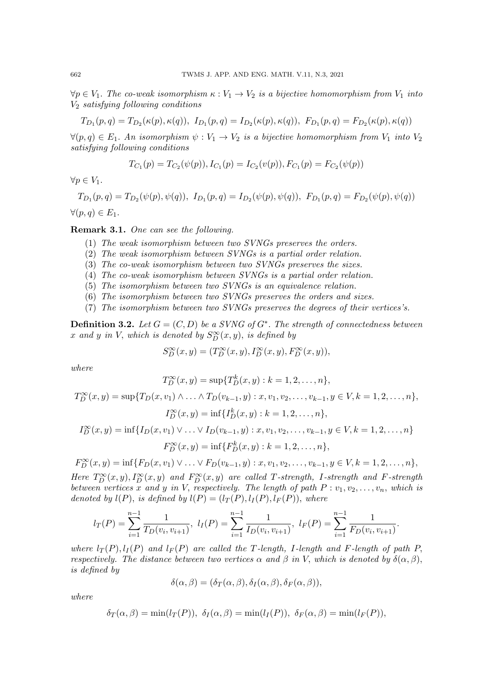$\forall p \in V_1$ . The co-weak isomorphism  $\kappa : V_1 \to V_2$  is a bijective homomorphism from  $V_1$  into  $V_2$  satisfying following conditions

$$
T_{D_1}(p,q) = T_{D_2}(\kappa(p), \kappa(q)), \ I_{D_1}(p,q) = I_{D_2}(\kappa(p), \kappa(q)), \ F_{D_1}(p,q) = F_{D_2}(\kappa(p), \kappa(q))
$$

 $\forall (p,q) \in E_1$ . An isomorphism  $\psi : V_1 \to V_2$  is a bijective homomorphism from  $V_1$  into  $V_2$ satisfying following conditions

$$
T_{C_1}(p) = T_{C_2}(\psi(p)), I_{C_1}(p) = I_{C_2}(v(p)), F_{C_1}(p) = F_{C_2}(\psi(p))
$$

 $\forall p \in V_1.$ 

$$
T_{D_1}(p,q) = T_{D_2}(\psi(p), \psi(q)), \ I_{D_1}(p,q) = I_{D_2}(\psi(p), \psi(q)), \ F_{D_1}(p,q) = F_{D_2}(\psi(p), \psi(q))
$$
  

$$
\forall (p,q) \in E_1.
$$

Remark 3.1. One can see the following.

- (1) The weak isomorphism between two SVNGs preserves the orders.
- (2) The weak isomorphism between SVNGs is a partial order relation.
- (3) The co-weak isomorphism between two SVNGs preserves the sizes.
- (4) The co-weak isomorphism between SVNGs is a partial order relation.
- (5) The isomorphism between two SVNGs is an equivalence relation.
- (6) The isomorphism between two SVNGs preserves the orders and sizes.
- (7) The isomorphism between two SVNGs preserves the degrees of their vertices's.

**Definition 3.2.** Let  $G = (C, D)$  be a SVNG of  $G^*$ . The strength of connectedness between x and y in V, which is denoted by  $S_D^{\infty}(x, y)$ , is defined by

$$
S^{\infty}_D(x,y)=(T^{\infty}_D(x,y),I^{\infty}_D(x,y),F^{\infty}_D(x,y)),
$$

where

$$
T_D^{\infty}(x, y) = \sup \{ T_D^k(x, y) : k = 1, 2, \dots, n \},
$$

$$
T_D^{\infty}(x, y) = \sup \{ T_D(x, v_1) \land \dots \land T_D(v_{k-1}, y) : x, v_1, v_2, \dots, v_{k-1}, y \in V, k = 1, 2, \dots, n \},
$$
  
\n
$$
I_D^{\infty}(x, y) = \inf \{ I_D^k(x, y) : k = 1, 2, \dots, n \},
$$
  
\n
$$
I_D^{\infty}(x, y) = \inf \{ I_D(x, v_1) \lor \dots \lor I_D(v_{k-1}, y) : x, v_1, v_2, \dots, v_{k-1}, y \in V, k = 1, 2, \dots, n \}
$$
  
\n
$$
F_D^{\infty}(x, y) = \inf \{ F_D^k(x, y) : k = 1, 2, \dots, n \},
$$

$$
F_D^{\infty}(x, y) = \inf \{ F_D(x, v_1) \vee \ldots \vee F_D(v_{k-1}, y) : x, v_1, v_2, \ldots, v_{k-1}, y \in V, k = 1, 2, \ldots, n \},
$$
  
Here  $T_D^{\infty}(x, y), I_D^{\infty}(x, y)$  and  $F_D^{\infty}(x, y)$  are called T-strength, I-strength and F-strength  
between vertices x and y in V, respectively. The length of path  $P : v_1, v_2, \ldots, v_n$ , which is

be Uveven vertices x and y in v, respectively. The length of path 
$$
F: v_1, v_2, \ldots, v_n
$$
, which is denoted by  $l(P)$ , is defined by  $l(P) = (l_T(P), l_T(P), l_F(P))$ , where\n
$$
n-1 \qquad n-1 \qquad n-1 \qquad n-1 \qquad n-1 \qquad n-1 \qquad n-1 \qquad n-1 \qquad n-1 \qquad n-1 \qquad n-1 \qquad n-1 \qquad n-1 \qquad n-1 \qquad n-1 \qquad n-1 \qquad n-1 \qquad n-1 \qquad n-1 \qquad n-1 \qquad n-1 \qquad n-1 \qquad n-1 \qquad n-1 \qquad n-1 \qquad n-1 \qquad n-1 \qquad n-1 \qquad n-1 \qquad n-1 \qquad n-1 \qquad n-1 \qquad n-1 \qquad n-1 \qquad n-1 \qquad n-1 \qquad n-1 \qquad n-1 \qquad n-1 \qquad n-1 \qquad n-1 \qquad n-1 \qquad n-1 \qquad n-1 \qquad n-1 \qquad n-1 \qquad n-1 \qquad n-1 \qquad n-1 \qquad n-1 \qquad n-1 \qquad n-1 \qquad n-1 \qquad n-1 \qquad n-1 \qquad n-1 \qquad n-1 \qquad n-1 \qquad n-1 \qquad n-1 \qquad n-1 \qquad n-1 \qquad n-1 \qquad n-1 \qquad n-1 \qquad n-1 \qquad n-1 \qquad n-1 \qquad n-1 \qquad n-1 \qquad n-1 \qquad n-1 \qquad n-1 \qquad n-1 \qquad n-1 \qquad n-1 \qquad n-1 \qquad n-1 \qquad n-1 \qquad n-1 \qquad n-1 \qquad n-1 \qquad n-1 \qquad n-1 \qquad n-1 \qquad n-1 \qquad n-1 \qquad n-1 \qquad n-1 \qquad n-1 \qquad n-1 \qquad n-1 \qquad n-1 \qquad n-1 \qquad n-1 \qquad n-1 \qquad n-1 \qquad n-1 \qquad n-1 \qquad n-1 \qquad n-1 \qquad n-1 \qquad n-1 \qquad n-1 \qquad n-1 \qquad n-1 \qquad n-1 \qquad n-1 \qquad n-1 \qquad n-1 \qquad n-1 \qquad n-1 \
$$

$$
l_T(P) = \sum_{i=1}^{n-1} \frac{1}{T_D(v_i, v_{i+1})}, l_I(P) = \sum_{i=1}^{n-1} \frac{1}{T_D(v_i, v_{i+1})}, l_F(P) = \sum_{i=1}^{n-1} \frac{1}{F_D(v_i, v_{i+1})}.
$$

where  $l_T(P), l_I(P)$  and  $l_F(P)$  are called the T-length, I-length and F-length of path P, respectively. The distance between two vertices  $\alpha$  and  $\beta$  in V, which is denoted by  $\delta(\alpha, \beta)$ , is defined by

$$
\delta(\alpha, \beta) = (\delta_T(\alpha, \beta), \delta_I(\alpha, \beta), \delta_F(\alpha, \beta)),
$$

where

$$
\delta_T(\alpha, \beta) = \min(l_T(P)), \ \delta_I(\alpha, \beta) = \min(l_I(P)), \ \delta_F(\alpha, \beta) = \min(l_F(P)),
$$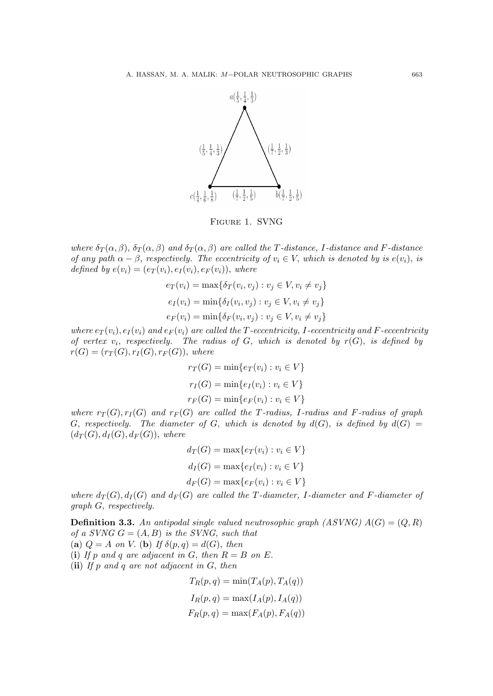

Figure 1. SVNG

where  $\delta_T(\alpha, \beta)$ ,  $\delta_T(\alpha, \beta)$  and  $\delta_T(\alpha, \beta)$  are called the T-distance, I-distance and F-distance of any path  $\alpha - \beta$ , respectively. The eccentricity of  $v_i \in V$ , which is denoted by is  $e(v_i)$ , is defined by  $e(v_i) = (e_T(v_i), e_I(v_i), e_F(v_i)),$  where

$$
e_T(v_i) = \max\{\delta_T(v_i, v_j) : v_j \in V, v_i \neq v_j\}
$$
  
\n
$$
e_I(v_i) = \min\{\delta_I(v_i, v_j) : v_j \in V, v_i \neq v_j\}
$$
  
\n
$$
e_F(v_i) = \min\{\delta_F(v_i, v_j) : v_j \in V, v_i \neq v_j\}
$$

where  $e_T(v_i)$ ,  $e_I(v_i)$  and  $e_F(v_i)$  are called the T-eccentricity, I-eccentricity and F-eccentricity of vertex  $v_i$ , respectively. The radius of  $G$ , which is denoted by  $r(G)$ , is defined by  $r(G) = (r_T(G), r_I(G), r_F(G)),$  where

$$
r_T(G) = \min\{e_T(v_i) : v_i \in V\}
$$

$$
r_I(G) = \min\{e_I(v_i) : v_i \in V\}
$$

$$
r_F(G) = \min\{e_F(v_i) : v_i \in V\}
$$

where  $r_T(G), r_I(G)$  and  $r_F(G)$  are called the T-radius, I-radius and F-radius of graph G, respectively. The diameter of G, which is denoted by  $d(G)$ , is defined by  $d(G) =$  $(d_T(G), d_I(G), d_F(G))$ , where

$$
d_T(G) = \max\{e_T(v_i) : v_i \in V\}
$$
  

$$
d_I(G) = \max\{e_I(v_i) : v_i \in V\}
$$
  

$$
d_F(G) = \max\{e_F(v_i) : v_i \in V\}
$$

where  $d_T(G)$ ,  $d_I(G)$  and  $d_F(G)$  are called the T-diameter, I-diameter and F-diameter of graph G, respectively.

**Definition 3.3.** An antipodal single valued neutrosophic graph (ASVNG)  $A(G) = (Q, R)$ of a SVNG  $G = (A, B)$  is the SVNG, such that (a)  $Q = A$  on V. (b) If  $\delta(p, q) = d(G)$ , then

(i) If p and q are adjacent in G, then  $R = B$  on E.

(ii) If p and q are not adjacent in  $G$ , then

$$
T_R(p,q) = \min(T_A(p), T_A(q))
$$
  
\n
$$
I_R(p,q) = \max(I_A(p), I_A(q))
$$
  
\n
$$
F_R(p,q) = \max(F_A(p), F_A(q))
$$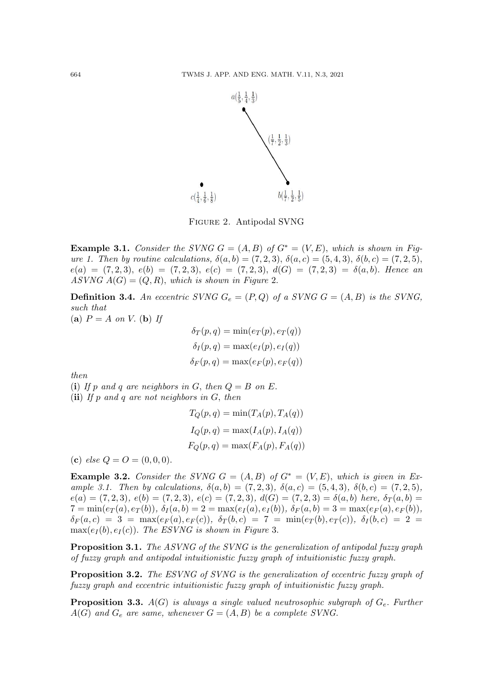

Figure 2. Antipodal SVNG

**Example 3.1.** Consider the SVNG  $G = (A, B)$  of  $G^* = (V, E)$ , which is shown in Figure 1. Then by routine calculations,  $\delta(a, b) = (7, 2, 3), \delta(a, c) = (5, 4, 3), \delta(b, c) = (7, 2, 5),$  $e(a) = (7, 2, 3), e(b) = (7, 2, 3), e(c) = (7, 2, 3), d(G) = (7, 2, 3) = \delta(a, b).$  Hence an ASVNG  $A(G) = (Q, R)$ , which is shown in Figure 2.

**Definition 3.4.** An eccentric SVNG  $G_e = (P, Q)$  of a SVNG  $G = (A, B)$  is the SVNG, such that

(a)  $P = A$  on V. (b) If

$$
\delta_T(p,q) = \min(e_T(p), e_T(q))
$$
  

$$
\delta_I(p,q) = \max(e_I(p), e_I(q))
$$
  

$$
\delta_F(p,q) = \max(e_F(p), e_F(q))
$$

then

(i) If p and q are neighbors in G, then  $Q = B$  on E.

(ii) If p and q are not neighbors in  $G$ , then

$$
T_Q(p,q) = \min(T_A(p), T_A(q))
$$
  
\n
$$
I_Q(p,q) = \max(I_A(p), I_A(q))
$$
  
\n
$$
F_Q(p,q) = \max(F_A(p), F_A(q))
$$

(c) else  $Q = Q = (0, 0, 0)$ .

**Example 3.2.** Consider the SVNG  $G = (A, B)$  of  $G^* = (V, E)$ , which is given in Example 3.1. Then by calculations,  $\delta(a, b) = (7, 2, 3), \delta(a, c) = (5, 4, 3), \delta(b, c) = (7, 2, 5),$  $e(a) = (7, 2, 3), e(b) = (7, 2, 3), e(c) = (7, 2, 3), d(G) = (7, 2, 3) = \delta(a, b)$  here,  $\delta_T(a, b) =$  $7 = \min(e_T(a), e_T(b)), \ \delta_I(a, b) = 2 = \max(e_I(a), e_I(b)), \ \delta_F(a, b) = 3 = \max(e_F(a), e_F(b)),$  $\delta_F(a,c) = 3 = \max(e_F(a), e_F(c)), \ \delta_T(b,c) = 7 = \min(e_T(b), e_T(c)), \ \delta_I(b,c) = 2 =$  $\max(e_I(b), e_I(c))$ . The ESVNG is shown in Figure 3.

Proposition 3.1. The ASVNG of the SVNG is the generalization of antipodal fuzzy graph of fuzzy graph and antipodal intuitionistic fuzzy graph of intuitionistic fuzzy graph.

Proposition 3.2. The ESVNG of SVNG is the generalization of eccentric fuzzy graph of fuzzy graph and eccentric intuitionistic fuzzy graph of intuitionistic fuzzy graph.

**Proposition 3.3.**  $A(G)$  is always a single valued neutrosophic subgraph of  $G_e$ . Further  $A(G)$  and  $G_e$  are same, whenever  $G = (A, B)$  be a complete SVNG.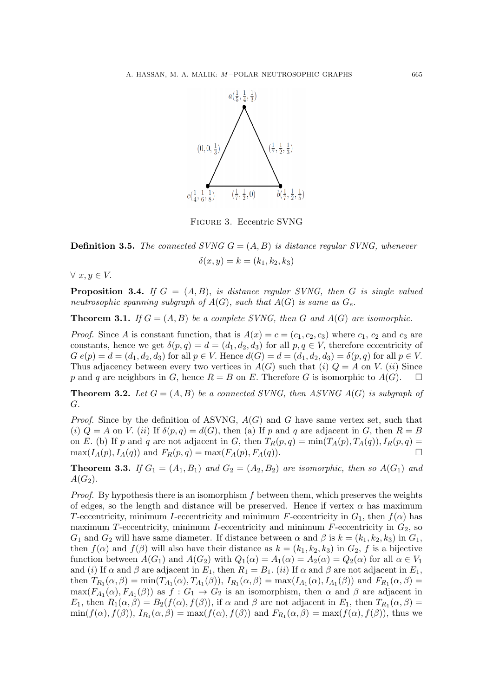

Figure 3. Eccentric SVNG

**Definition 3.5.** The connected SVNG  $G = (A, B)$  is distance regular SVNG, whenever  $\delta(x, y) = k = (k_1, k_2, k_3)$ 

 $\forall x, y \in V.$ 

**Proposition 3.4.** If  $G = (A, B)$ , is distance regular SVNG, then G is single valued neutrosophic spanning subgraph of  $A(G)$ , such that  $A(G)$  is same as  $G_e$ .

**Theorem 3.1.** If  $G = (A, B)$  be a complete SVNG, then G and  $A(G)$  are isomorphic.

*Proof.* Since A is constant function, that is  $A(x) = c = (c_1, c_2, c_3)$  where  $c_1, c_2$  and  $c_3$  are constants, hence we get  $\delta(p,q) = d = (d_1, d_2, d_3)$  for all  $p, q \in V$ , therefore eccentricity of  $G e(p) = d = (d_1, d_2, d_3)$  for all  $p \in V$ . Hence  $d(G) = d = (d_1, d_2, d_3) = \delta(p, q)$  for all  $p \in V$ . Thus adjacency between every two vertices in  $A(G)$  such that (i)  $Q = A$  on V. (ii) Since p and q are neighbors in G, hence  $R = B$  on E. Therefore G is isomorphic to  $A(G)$ .  $\Box$ 

**Theorem 3.2.** Let  $G = (A, B)$  be a connected SVNG, then ASVNG  $A(G)$  is subgraph of G.

*Proof.* Since by the definition of ASVNG,  $A(G)$  and G have same vertex set, such that (i)  $Q = A$  on V. (ii) If  $\delta(p,q) = d(G)$ , then (a) If p and q are adjacent in G, then  $R = B$ on E. (b) If p and q are not adjacent in G, then  $T_R(p,q) = \min(T_A(p), T_A(q)), I_R(p,q) =$  $\max(I_A(p), I_A(q))$  and  $F_R(p, q) = \max(F_A(p), F_A(q)).$ 

**Theorem 3.3.** If  $G_1 = (A_1, B_1)$  and  $G_2 = (A_2, B_2)$  are isomorphic, then so  $A(G_1)$  and  $A(G_2)$ .

*Proof.* By hypothesis there is an isomorphism  $f$  between them, which preserves the weights of edges, so the length and distance will be preserved. Hence if vertex  $\alpha$  has maximum T-eccentricity, minimum I-eccentricity and minimum F-eccentricity in  $G_1$ , then  $f(\alpha)$  has maximum T-eccentricity, minimum I-eccentricity and minimum  $F$ -eccentricity in  $G_2$ , so  $G_1$  and  $G_2$  will have same diameter. If distance between  $\alpha$  and  $\beta$  is  $k = (k_1, k_2, k_3)$  in  $G_1$ , then  $f(\alpha)$  and  $f(\beta)$  will also have their distance as  $k = (k_1, k_2, k_3)$  in  $G_2$ , f is a bijective function between  $A(G_1)$  and  $A(G_2)$  with  $Q_1(\alpha) = A_1(\alpha) = A_2(\alpha) = Q_2(\alpha)$  for all  $\alpha \in V_1$ and (i) If  $\alpha$  and  $\beta$  are adjacent in  $E_1$ , then  $R_1 = B_1$ . (ii) If  $\alpha$  and  $\beta$  are not adjacent in  $E_1$ , then  $T_{R_1}(\alpha, \beta) = \min(T_{A_1}(\alpha), T_{A_1}(\beta)), I_{R_1}(\alpha, \beta) = \max(I_{A_1}(\alpha), I_{A_1}(\beta))$  and  $F_{R_1}(\alpha, \beta) =$  $\max(F_{A_1}(\alpha), F_{A_1}(\beta))$  as  $f: G_1 \to G_2$  is an isomorphism, then  $\alpha$  and  $\beta$  are adjacent in  $E_1$ , then  $R_1(\alpha, \beta) = B_2(f(\alpha), f(\beta))$ , if  $\alpha$  and  $\beta$  are not adjacent in  $E_1$ , then  $T_{R_1}(\alpha, \beta) =$  $\min(f(\alpha), f(\beta)), I_{R_1}(\alpha, \beta) = \max(f(\alpha), f(\beta))$  and  $F_{R_1}(\alpha, \beta) = \max(f(\alpha), f(\beta)),$  thus we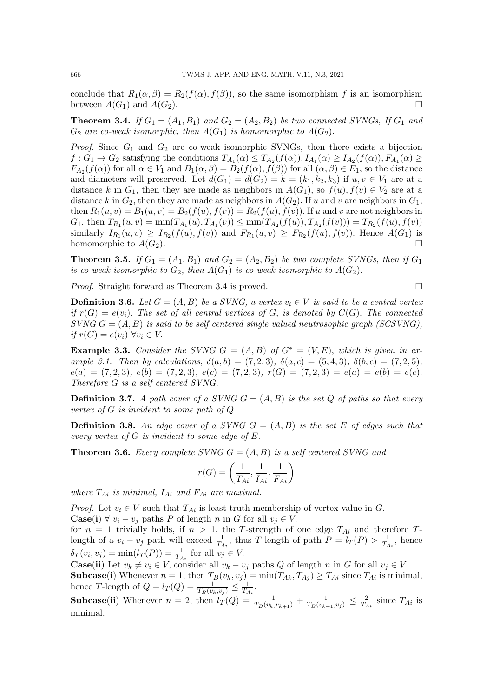conclude that  $R_1(\alpha, \beta) = R_2(f(\alpha), f(\beta))$ , so the same isomorphism f is an isomorphism between  $A(G_1)$  and  $A(G_2)$ .

**Theorem 3.4.** If  $G_1 = (A_1, B_1)$  and  $G_2 = (A_2, B_2)$  be two connected SVNGs, If  $G_1$  and  $G_2$  are co-weak isomorphic, then  $A(G_1)$  is homomorphic to  $A(G_2)$ .

*Proof.* Since  $G_1$  and  $G_2$  are co-weak isomorphic SVNGs, then there exists a bijection  $f: G_1 \to G_2$  satisfying the conditions  $T_{A_1}(\alpha) \leq T_{A_2}(f(\alpha)), I_{A_1}(\alpha) \geq I_{A_2}(f(\alpha)), F_{A_1}(\alpha) \geq$  $F_{A_2}(f(\alpha))$  for all  $\alpha \in V_1$  and  $B_1(\alpha, \beta) = B_2(f(\alpha), f(\beta))$  for all  $(\alpha, \beta) \in E_1$ , so the distance and diameters will preserved. Let  $d(G_1) = d(G_2) = k = (k_1, k_2, k_3)$  if  $u, v \in V_1$  are at a distance k in  $G_1$ , then they are made as neighbors in  $A(G_1)$ , so  $f(u), f(v) \in V_2$  are at a distance k in  $G_2$ , then they are made as neighbors in  $A(G_2)$ . If u and v are neighbors in  $G_1$ , then  $R_1(u, v) = B_1(u, v) = B_2(f(u), f(v)) = R_2(f(u), f(v))$ . If u and v are not neighbors in  $G_1$ , then  $T_{R_1}(u, v) = \min(T_{A_1}(u), T_{A_1}(v)) \leq \min(T_{A_2}(f(u)), T_{A_2}(f(v))) = T_{R_2}(f(u), f(v))$ similarly  $I_{R_1}(u, v) \geq I_{R_2}(f(u), f(v))$  and  $F_{R_1}(u, v) \geq F_{R_2}(f(u), f(v))$ . Hence  $A(G_1)$  is homomorphic to  $A(G_2)$ .

**Theorem 3.5.** If  $G_1 = (A_1, B_1)$  and  $G_2 = (A_2, B_2)$  be two complete SVNGs, then if  $G_1$ is co-weak isomorphic to  $G_2$ , then  $A(G_1)$  is co-weak isomorphic to  $A(G_2)$ .

*Proof.* Straight forward as Theorem 3.4 is proved.  $\square$ 

**Definition 3.6.** Let  $G = (A, B)$  be a SVNG, a vertex  $v_i \in V$  is said to be a central vertex if  $r(G) = e(v_i)$ . The set of all central vertices of G, is denoted by  $C(G)$ . The connected  $SVNG = (A, B)$  is said to be self centered single valued neutrosophic graph (SCSVNG), if  $r(G) = e(v_i) \ \forall v_i \in V$ .

**Example 3.3.** Consider the SVNG  $G = (A, B)$  of  $G^* = (V, E)$ , which is given in example 3.1. Then by calculations,  $\delta(a, b) = (7, 2, 3), \delta(a, c) = (5, 4, 3), \delta(b, c) = (7, 2, 5),$  $e(a) = (7, 2, 3), e(b) = (7, 2, 3), e(c) = (7, 2, 3), r(G) = (7, 2, 3) = e(a) = e(b) = e(c).$ Therefore G is a self centered SVNG.

**Definition 3.7.** A path cover of a SVNG  $G = (A, B)$  is the set Q of paths so that every vertex of G is incident to some path of Q.

**Definition 3.8.** An edge cover of a SVNG  $G = (A, B)$  is the set E of edges such that every vertex of G is incident to some edge of E.

**Theorem 3.6.** Every complete SVNG  $G = (A, B)$  is a self centered SVNG and

$$
r(G) = \left(\frac{1}{T_{Ai}}, \frac{1}{I_{Ai}}, \frac{1}{F_{Ai}}\right)
$$

where  $T_{Ai}$  is minimal,  $I_{Ai}$  and  $F_{Ai}$  are maximal.

*Proof.* Let  $v_i \in V$  such that  $T_{Ai}$  is least truth membership of vertex value in G. **Case(i)**  $\forall v_i - v_j$  paths P of length n in G for all  $v_j \in V$ .

for  $n = 1$  trivially holds, if  $n > 1$ , the T-strength of one edge  $T_{Ai}$  and therefore Tlength of a  $v_i - v_j$  path will exceed  $\frac{1}{T_{Ai}}$ , thus T-length of path  $P = l_T(P) > \frac{1}{T_A}$  $\frac{1}{T_{Ai}}, \text{ hence}$  $\delta_T(v_i, v_j) = \min(l_T(P)) = \frac{1}{T_{Ai}}$  for all  $v_j \in V$ .

**Case(ii)** Let  $v_k \neq v_i \in V$ , consider all  $v_k - v_j$  paths Q of length n in G for all  $v_j \in V$ . **Subcase(i)** Whenever  $n = 1$ , then  $T_B(v_k, v_j) = \min(T_{Ak}, T_{Ai}) \geq T_{Ai}$  since  $T_{Ai}$  is minimal, hence T-length of  $Q = l_T(Q) = \frac{1}{T_B(v_k, v_j)} \leq \frac{1}{T_A}$  $\frac{1}{T_{Ai}}$ .

**Subcase(ii)** Whenever  $n = 2$ , then  $l_T(Q) = \frac{1}{T_B(v_k, v_{k+1})} + \frac{1}{T_B(v_{k+1}, v_j)} \leq \frac{2}{T_A}$  $\frac{2}{T_{Ai}}$  since  $T_{Ai}$  is minimal.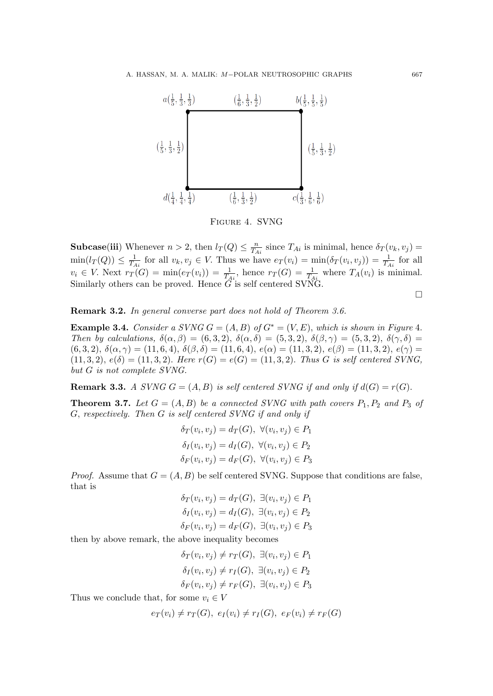

Figure 4. SVNG

**Subcase(iii)** Whenever  $n > 2$ , then  $l_T(Q) \leq \frac{n}{T_A}$  $\frac{n}{T_{Ai}}$  since  $T_{Ai}$  is minimal, hence  $\delta_T(v_k, v_j) =$  $\min(l_T(Q)) \leq \frac{1}{T}$  $\frac{1}{T_{Ai}}$  for all  $v_k, v_j \in V$ . Thus we have  $e_T(v_i) = \min(\delta_T(v_i, v_j)) = \frac{1}{T_{Ai}}$  for all  $v_i \in V$ . Next  $r_T(G) = \min(e_T(v_i)) = \frac{1}{T_{Ai}}$ , hence  $r_T(G) = \frac{1}{T_{Ai}}$  where  $T_A(v_i)$  is minimal. Similarly others can be proved. Hence  $\tilde{G}$  is self centered SVNG.

 $\Box$ 

Remark 3.2. In general converse part does not hold of Theorem 3.6.

**Example 3.4.** Consider a SVNG  $G = (A, B)$  of  $G^* = (V, E)$ , which is shown in Figure 4. Then by calculations,  $\delta(\alpha, \beta) = (6, 3, 2), \delta(\alpha, \delta) = (5, 3, 2), \delta(\beta, \gamma) = (5, 3, 2), \delta(\gamma, \delta) =$ (6, 3, 2),  $\delta(\alpha, \gamma) = (11, 6, 4), \delta(\beta, \delta) = (11, 6, 4), e(\alpha) = (11, 3, 2), e(\beta) = (11, 3, 2), e(\gamma) =$  $(11, 3, 2), e(\delta) = (11, 3, 2).$  Here  $r(G) = e(G) = (11, 3, 2).$  Thus G is self centered SVNG, but G is not complete SVNG.

**Remark 3.3.** A SVNG  $G = (A, B)$  is self centered SVNG if and only if  $d(G) = r(G)$ .

**Theorem 3.7.** Let  $G = (A, B)$  be a connected SVNG with path covers  $P_1, P_2$  and  $P_3$  of G, respectively. Then G is self centered SVNG if and only if

$$
\delta_T(v_i, v_j) = d_T(G), \ \forall (v_i, v_j) \in P_1
$$

$$
\delta_I(v_i, v_j) = d_I(G), \ \forall (v_i, v_j) \in P_2
$$

$$
\delta_F(v_i, v_j) = d_F(G), \ \forall (v_i, v_j) \in P_3
$$

*Proof.* Assume that  $G = (A, B)$  be self centered SVNG. Suppose that conditions are false, that is

$$
\delta_T(v_i, v_j) = d_T(G), \ \exists (v_i, v_j) \in P_1
$$
  

$$
\delta_I(v_i, v_j) = d_I(G), \ \exists (v_i, v_j) \in P_2
$$
  

$$
\delta_F(v_i, v_j) = d_F(G), \ \exists (v_i, v_j) \in P_3
$$

then by above remark, the above inequality becomes

$$
\delta_T(v_i, v_j) \neq r_T(G), \exists (v_i, v_j) \in P_1
$$
  

$$
\delta_I(v_i, v_j) \neq r_I(G), \exists (v_i, v_j) \in P_2
$$
  

$$
\delta_F(v_i, v_j) \neq r_F(G), \exists (v_i, v_j) \in P_3
$$

Thus we conclude that, for some  $v_i \in V$ 

$$
e_T(v_i) \neq r_T(G), e_I(v_i) \neq r_I(G), e_F(v_i) \neq r_F(G)
$$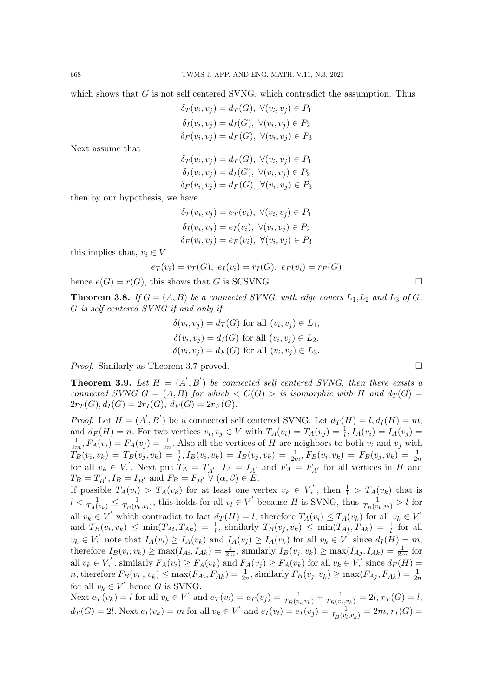which shows that  $G$  is not self centered SVNG, which contradict the assumption. Thus

$$
\delta_T(v_i, v_j) = d_T(G), \ \forall (v_i, v_j) \in P_1
$$
  

$$
\delta_I(v_i, v_j) = d_I(G), \ \forall (v_i, v_j) \in P_2
$$
  

$$
\delta_F(v_i, v_j) = d_F(G), \ \forall (v_i, v_j) \in P_3
$$

Next assume that

$$
\delta_T(v_i, v_j) = d_T(G), \ \forall (v_i, v_j) \in P_1
$$
  

$$
\delta_I(v_i, v_j) = d_I(G), \ \forall (v_i, v_j) \in P_2
$$
  

$$
\delta_F(v_i, v_j) = d_F(G), \ \forall (v_i, v_j) \in P_3
$$

then by our hypothesis, we have

 $\delta_T(v_i, v_j) = e_T(v_i), \ \forall (v_i, v_j) \in P_1$  $\delta_I(v_i, v_j) = e_I(v_i), \ \forall (v_i, v_j) \in P_2$  $\delta_F(v_i, v_j) = e_F(v_i), \ \forall (v_i, v_j) \in P_3$ 

this implies that,  $v_i \in V$ 

$$
e_T(v_i) = r_T(G), \ e_I(v_i) = r_I(G), \ e_F(v_i) = r_F(G)
$$

hence  $e(G) = r(G)$ , this shows that G is SCSVNG.

**Theorem 3.8.** If  $G = (A, B)$  be a connected SVNG, with edge covers  $L_1, L_2$  and  $L_3$  of G, G is self centered SVNG if and only if

$$
\delta(v_i, v_j) = d_T(G) \text{ for all } (v_i, v_j) \in L_1,
$$
  
\n
$$
\delta(v_i, v_j) = d_I(G) \text{ for all } (v_i, v_j) \in L_2,
$$
  
\n
$$
\delta(v_i, v_j) = d_F(G) \text{ for all } (v_i, v_j) \in L_3.
$$

*Proof.* Similarly as Theorem 3.7 proved.

**Theorem 3.9.** Let  $H = (A', B')$  be connected self centered SVNG, then there exists a connected SVNG  $G = (A, B)$  for which  $\langle C(G) \rangle$  is isomorphic with H and  $d_T(G)$  $2r_T(G), d_I(G) = 2r_I(G), d_F(G) = 2r_F(G).$ 

*Proof.* Let  $H = (A', B')$  be a connected self centered SVNG. Let  $d_T(H) = l, d_I(H) = m$ , and  $d_F(H) = n$ . For two vertices  $v_i, v_j \in V$  with  $T_A(v_i) = T_A(v_j) = \frac{1}{l}, I_A(v_i) = I_A(v_j) = I_A(v_j)$ 1  $\frac{1}{2m}$ ,  $F_A(v_i) = F_A(v_j) = \frac{1}{2n}$ . Also all the vertices of H are neighbors to both  $v_i$  and  $v_j$  with  $T_B(v_i, v_k) = T_B(v_j, v_k) = \frac{1}{l}, I_B(v_i, v_k) = I_B(v_j, v_k) = \frac{1}{2m}, F_B(v_i, v_k) = F_B(v_j, v_k) = \frac{1}{2n}$ for all  $v_k \in V'$ . Next put  $T_A = T_{A'}$ ,  $I_A = I_{A'}$  and  $F_A = F_{A'}$  for all vertices in H and  $T_B = T_{B'}$ ,  $I_B = I_{B'}$  and  $F_B = F_{B'} \forall (\alpha, \beta) \in E$ .

If possible  $T_A(v_i) > T_A(v_k)$  for at least one vertex  $v_k \in V$ , then  $\frac{1}{l} > T_A(v_k)$  that is  $l < \frac{1}{T_A(v_k)} \leq \frac{1}{T_B(v_k)}$  $\frac{1}{T_B(v_k, v_l)}$ , this holds for all  $v_l \in V'$  because H is SVNG, thus  $\frac{1}{T_B(v_k, v_l)} > l$  for all  $v_k \in V'$  which contradict to fact  $d_T(H) = l$ , therefore  $T_A(v_i) \leq T_A(v_k)$  for all  $v_k \in V'$ and  $T_B(v_i, v_k) \le \min(T_{Ai}, T_{Ak}) = \frac{1}{l}$ , similarly  $T_B(v_j, v_k) \le \min(T_{Aj}, T_{Ak}) = \frac{1}{l}$  for all  $v_k \in V$ , note that  $I_A(v_i) \geq I_A(v_k)$  and  $I_A(v_j) \geq I_A(v_k)$  for all  $v_k \in V$  since  $d_I(H) = m$ , therefore  $I_B(v_i, v_k) \ge \max(I_{Ai}, I_{Ak}) = \frac{1}{2m}$ , similarly  $I_B(v_j, v_k) \ge \max(I_{Aj}, I_{Ak}) = \frac{1}{2m}$  for all  $v_k \in V$ , similarly  $F_A(v_i) \ge F_A(v_k)$  and  $F_A(v_j) \ge F_A(v_k)$  for all  $v_k \in V$ , since  $d_F(H) =$ *n*, therefore  $F_B(v_i, v_k) \le \max(F_{Ai}, F_{Ak}) = \frac{1}{2n}$ , similarly  $F_B(v_j, v_k) \ge \max(F_{Aj}, F_{Ak}) = \frac{1}{2n}$ for all  $v_k \in V'$  hence G is SVNG.

Next  $e_T(v_k) = l$  for all  $v_k \in V'$  and  $e_T(v_i) = e_T(v_j) = \frac{1}{T_B(v_i, v_k)} + \frac{1}{T_B(v_i, v_k)} = 2l$ ,  $r_T(G) = l$ ,  $d_T(G) = 2l$ . Next  $e_I(v_k) = m$  for all  $v_k \in V'$  and  $e_I(v_i) = e_I(v_j) = \frac{1}{I_B(v_l, v_k)} = 2m$ ,  $r_I(G) =$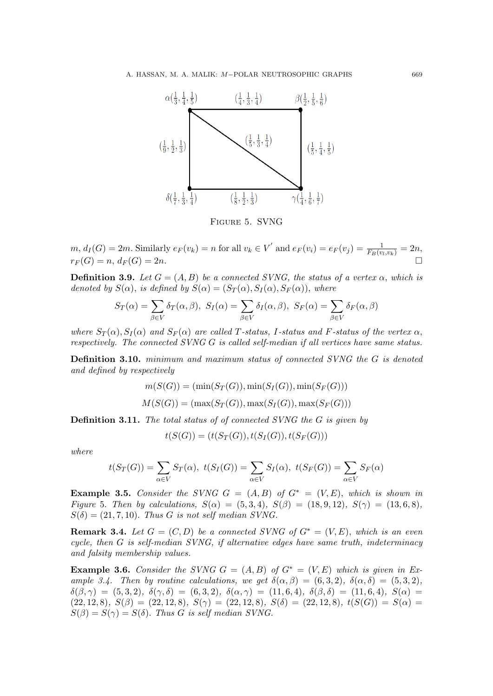

Figure 5. SVNG

 $m, d_I(G) = 2m$ . Similarly  $e_F(v_k) = n$  for all  $v_k \in V'$  and  $e_F(v_i) = e_F(v_j) = \frac{1}{F_B(v_i, v_k)} = 2n$ ,  $r_F(G) = n, d_F(G) = 2n.$ 

**Definition 3.9.** Let  $G = (A, B)$  be a connected SVNG, the status of a vertex  $\alpha$ , which is denoted by  $S(\alpha)$ , is defined by  $S(\alpha) = (S_T(\alpha), S_I(\alpha), S_F(\alpha))$ , where

$$
S_T(\alpha) = \sum_{\beta \in V} \delta_T(\alpha, \beta), \ S_I(\alpha) = \sum_{\beta \in V} \delta_I(\alpha, \beta), \ S_F(\alpha) = \sum_{\beta \in V} \delta_F(\alpha, \beta)
$$

where  $S_T(\alpha)$ ,  $S_I(\alpha)$  and  $S_F(\alpha)$  are called T-status, I-status and F-status of the vertex  $\alpha$ , respectively. The connected SVNG G is called self-median if all vertices have same status.

Definition 3.10. minimum and maximum status of connected SVNG the G is denoted and defined by respectively

$$
m(S(G)) = (\min(S_T(G)), \min(S_I(G)), \min(S_F(G)))
$$
  

$$
M(S(G)) = (\max(S_T(G)), \max(S_I(G)), \max(S_F(G)))
$$

Definition 3.11. The total status of of connected SVNG the G is given by

$$
t(S(G)) = (t(S_T(G)), t(S_T(G)), t(S_F(G)))
$$

where

$$
t(S_T(G)) = \sum_{\alpha \in V} S_T(\alpha), \ t(S_I(G)) = \sum_{\alpha \in V} S_I(\alpha), \ t(S_F(G)) = \sum_{\alpha \in V} S_F(\alpha)
$$

Example 3.5. Consider the SVNG  $G = (A, B)$  of  $G^* = (V, E)$ , which is shown in Figure 5. Then by calculations,  $S(\alpha) = (5, 3, 4)$ ,  $S(\beta) = (18, 9, 12)$ ,  $S(\gamma) = (13, 6, 8)$ ,  $S(\delta) = (21, 7, 10)$ . Thus G is not self median SVNG.

**Remark 3.4.** Let  $G = (C, D)$  be a connected SVNG of  $G^* = (V, E)$ , which is an even cycle, then  $G$  is self-median SVN $G$ , if alternative edges have same truth, indeterminacy and falsity membership values.

**Example 3.6.** Consider the SVNG  $G = (A, B)$  of  $G^* = (V, E)$  which is given in Example 3.4. Then by routine calculations, we get  $\delta(\alpha, \beta) = (6, 3, 2), \delta(\alpha, \delta) = (5, 3, 2),$  $\delta(\beta, \gamma) = (5, 3, 2), \ \delta(\gamma, \delta) = (6, 3, 2), \ \delta(\alpha, \gamma) = (11, 6, 4), \ \delta(\beta, \delta) = (11, 6, 4), \ S(\alpha) =$  $(22, 12, 8), S(\beta) = (22, 12, 8), S(\gamma) = (22, 12, 8), S(\delta) = (22, 12, 8), t(S(G)) = S(\alpha) =$  $S(\beta) = S(\gamma) = S(\delta)$ . Thus G is self median SVNG.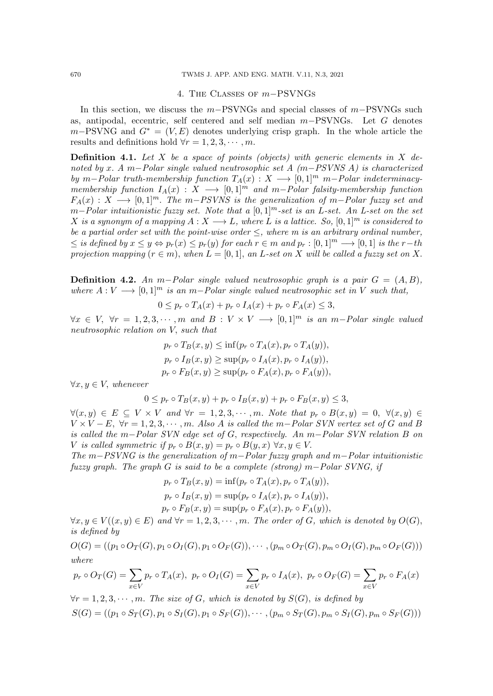## 4. The Classes of m−PSVNGs

In this section, we discuss the m−PSVNGs and special classes of  $m-PSVNGs$  such as, antipodal, eccentric, self centered and self median m−PSVNGs. Let G denotes  $m-\text{PSVNG}$  and  $G^* = (V, E)$  denotes underlying crisp graph. In the whole article the results and definitions hold  $\forall r = 1, 2, 3, \cdots, m$ .

**Definition 4.1.** Let  $X$  be a space of points (objects) with generic elements in  $X$  denoted by x. A m–Polar single valued neutrosophic set A  $(m-PSVNS A)$  is characterized by m–Polar truth-membership function  $T_A(x) : X \longrightarrow [0,1]^m$  m–Polar indeterminacymembership function  $I_A(x) : X \longrightarrow [0,1]^m$  and  $m-Polar$  falsity-membership function  $F_A(x) : X \longrightarrow [0,1]^m$ . The m−PSVNS is the generalization of m-Polar fuzzy set and m–Polar intuitionistic fuzzy set. Note that a  $[0,1]^m$ -set is an L-set. An L-set on the set X is a synonym of a mapping  $A: X \longrightarrow L$ , where L is a lattice. So,  $[0,1]^m$  is considered to be a partial order set with the point-wise order  $\leq$ , where m is an arbitrary ordinal number,  $\leq$  is defined by  $x \leq y \Leftrightarrow p_r(x) \leq p_r(y)$  for each  $r \in m$  and  $p_r : [0,1]^m \longrightarrow [0,1]$  is the r-th projection mapping  $(r \in m)$ , when  $L = [0, 1]$ , an L-set on X will be called a fuzzy set on X.

Definition 4.2. An m−Polar single valued neutrosophic graph is a pair  $G = (A, B)$ , where  $A: V \longrightarrow [0,1]^m$  is an m-Polar single valued neutrosophic set in V such that,

 $0 \leq p_r \circ T_A(x) + p_r \circ I_A(x) + p_r \circ F_A(x) \leq 3$ 

 $\forall x \in V, \ \forall r = 1, 2, 3, \cdots, m \text{ and } B: V \times V \longrightarrow [0, 1]^{m} \text{ is an } m-Polar \text{ single valued}$ neutrosophic relation on V, such that

$$
p_r \circ T_B(x, y) \le \inf(p_r \circ T_A(x), p_r \circ T_A(y)),
$$
  
\n
$$
p_r \circ I_B(x, y) \ge \sup(p_r \circ I_A(x), p_r \circ I_A(y)),
$$
  
\n
$$
p_r \circ F_B(x, y) \ge \sup(p_r \circ F_A(x), p_r \circ F_A(y)),
$$

 $\forall x, y \in V$ , whenever

$$
0 \le p_r \circ T_B(x, y) + p_r \circ I_B(x, y) + p_r \circ F_B(x, y) \le 3,
$$

 $\forall (x, y) \in E \subseteq V \times V$  and  $\forall r = 1, 2, 3, \cdots, m$ . Note that  $p_r \circ B(x, y) = 0$ ,  $\forall (x, y) \in E$  $V \times V - E$ ,  $\forall r = 1, 2, 3, \cdots, m$ . Also A is called the m-Polar SVN vertex set of G and B is called the m−Polar SVN edge set of G, respectively. An m−Polar SVN relation B on V is called symmetric if  $p_r \circ B(x,y) = p_r \circ B(y,x) \,\forall x,y \in V$ .

The m−PSVNG is the generalization of m−Polar fuzzy graph and m−Polar intuitionistic fuzzy graph. The graph G is said to be a complete (strong) m-Polar SVNG, if

$$
p_r \circ T_B(x, y) = \inf (p_r \circ T_A(x), p_r \circ T_A(y)),
$$
  
\n
$$
p_r \circ I_B(x, y) = \sup (p_r \circ I_A(x), p_r \circ I_A(y)),
$$
  
\n
$$
p_r \circ F_B(x, y) = \sup (p_r \circ F_A(x), p_r \circ F_A(y)),
$$

 $\forall x, y \in V((x, y) \in E)$  and  $\forall r = 1, 2, 3, \cdots, m$ . The order of G, which is denoted by  $O(G)$ , is defined by

 $O(G) = ((p_1 \circ O_T(G), p_1 \circ O_T(G), p_1 \circ O_F(G)), \cdots, (p_m \circ O_T(G), p_m \circ O_T(G), p_m \circ O_F(G)))$ where

$$
p_r \circ O_T(G) = \sum_{x \in V} p_r \circ T_A(x), \ p_r \circ O_I(G) = \sum_{x \in V} p_r \circ I_A(x), \ p_r \circ O_F(G) = \sum_{x \in V} p_r \circ F_A(x)
$$

 $\forall r = 1, 2, 3, \cdots, m$ . The size of G, which is denoted by  $S(G)$ , is defined by  $S(G) = ((p_1 \circ S_T(G), p_1 \circ S_T(G), p_1 \circ S_F(G)), \cdots, (p_m \circ S_T(G), p_m \circ S_T(G), p_m \circ S_F(G)))$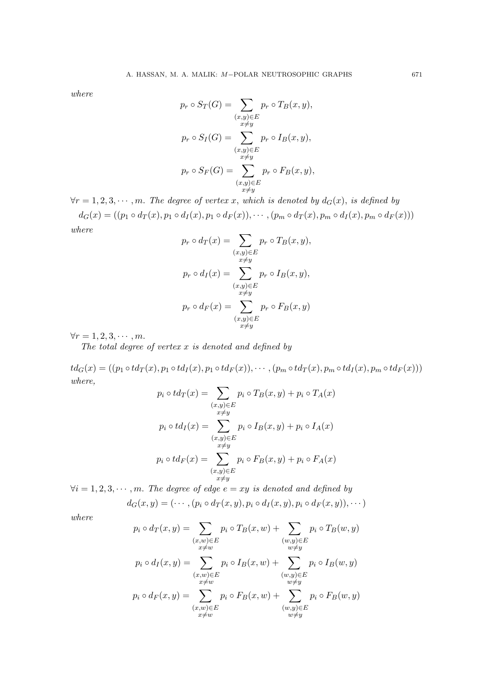where

$$
p_r \circ S_T(G) = \sum_{\substack{(x,y)\in E\\x\neq y}} p_r \circ T_B(x, y),
$$

$$
p_r \circ S_I(G) = \sum_{\substack{(x,y)\in E\\x\neq y}} p_r \circ I_B(x, y),
$$

$$
p_r \circ S_F(G) = \sum_{\substack{(x,y)\in E\\x\neq y}} p_r \circ F_B(x, y),
$$

 $\forall r = 1, 2, 3, \cdots, m$ . The degree of vertex x, which is denoted by  $d_G(x)$ , is defined by

 $d_G(x) = ((p_1 \circ d_T(x), p_1 \circ d_T(x), p_1 \circ d_F(x)), \cdots, (p_m \circ d_T(x), p_m \circ d_T(x), p_m \circ d_F(x)))$ where

$$
p_r \circ d_T(x) = \sum_{\substack{(x,y)\in E\\x\neq y}} p_r \circ T_B(x, y),
$$

$$
p_r \circ d_T(x) = \sum_{\substack{(x,y)\in E\\x\neq y}} p_r \circ I_B(x, y),
$$

$$
p_r \circ d_F(x) = \sum_{\substack{(x,y)\in E\\x\neq y}} p_r \circ F_B(x, y)
$$

 $\forall r = 1, 2, 3, \cdots, m.$ 

The total degree of vertex  $x$  is denoted and defined by

 $td_G(x) = ((p_1 \circ td_T(x), p_1 \circ td_T(x), p_1 \circ td_F(x)), \cdots, (p_m \circ td_T(x), p_m \circ td_T(x), p_m \circ td_F(x)))$ where,

$$
p_i \circ td_T(x) = \sum_{\substack{(x,y)\in E\\x\neq y}} p_i \circ T_B(x,y) + p_i \circ T_A(x)
$$

$$
p_i \circ td_I(x) = \sum_{\substack{(x,y)\in E\\x\neq y}} p_i \circ I_B(x,y) + p_i \circ I_A(x)
$$

$$
p_i \circ td_F(x) = \sum_{\substack{(x,y)\in E\\x\neq y}} p_i \circ F_B(x,y) + p_i \circ F_A(x)
$$

 $\forall i = 1, 2, 3, \cdots, m$ . The degree of edge  $e = xy$  is denoted and defined by

$$
d_G(x,y)=(\cdots,(p_i\circ d_T(x,y),p_i\circ d_I(x,y),p_i\circ d_F(x,y)),\cdots)
$$

where

$$
p_i \circ d_T(x, y) = \sum_{\substack{(x, w) \in E \\ x \neq w}} p_i \circ T_B(x, w) + \sum_{\substack{(w, y) \in E \\ w \neq y}} p_i \circ T_B(w, y)
$$

$$
p_i \circ d_I(x, y) = \sum_{\substack{(x, w) \in E \\ x \neq w}} p_i \circ I_B(x, w) + \sum_{\substack{(w, y) \in E \\ w \neq y}} p_i \circ I_B(w, y)
$$

$$
p_i \circ d_F(x, y) = \sum_{\substack{(x, w) \in E \\ x \neq w}} p_i \circ F_B(x, w) + \sum_{\substack{(w, y) \in E \\ w \neq y}} p_i \circ F_B(w, y)
$$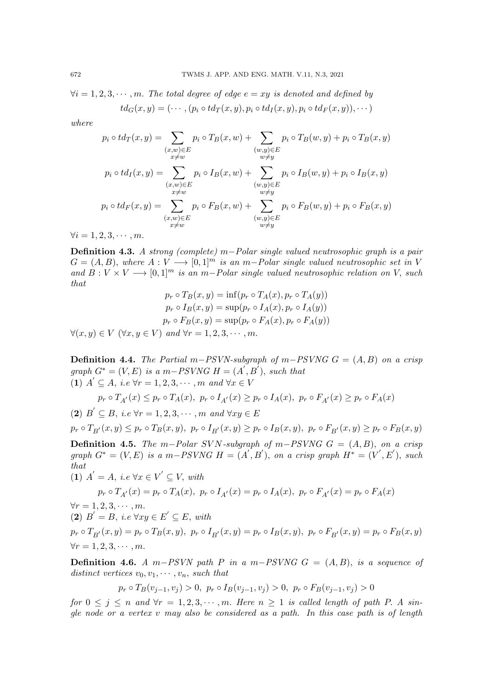$\forall i = 1, 2, 3, \cdots, m$ . The total degree of edge  $e = xy$  is denoted and defined by  $td_G(x, y) = (\cdots, (p_i \circ td_T(x, y), p_i \circ td_T(x, y), p_i \circ td_F(x, y)), \cdots)$ 

where

$$
p_i \circ td_T(x, y) = \sum_{\substack{(x, w) \in E \\ x \neq w}} p_i \circ T_B(x, w) + \sum_{\substack{(w, y) \in E \\ w \neq y}} p_i \circ T_B(w, y) + p_i \circ T_B(x, y)
$$

$$
p_i \circ td_I(x, y) = \sum_{\substack{(x, w) \in E \\ x \neq w}} p_i \circ I_B(x, w) + \sum_{\substack{(w, y) \in E \\ w \neq y}} p_i \circ I_B(w, y) + p_i \circ I_B(x, y)
$$

$$
p_i \circ td_F(x, y) = \sum_{\substack{(x, w) \in E \\ x \neq w}} p_i \circ F_B(x, w) + \sum_{\substack{(w, y) \in E \\ w \neq y}} p_i \circ F_B(w, y) + p_i \circ F_B(x, y)
$$

 $\forall i = 1, 2, 3, \cdots, m.$ 

Definition 4.3. A strong (complete) m–Polar single valued neutrosophic graph is a pair  $G = (A, B)$ , where  $A: V \longrightarrow [0, 1]^m$  is an m-Polar single valued neutrosophic set in V and  $B: V \times V \longrightarrow [0, 1]^m$  is an m-Polar single valued neutrosophic relation on V, such that  $p_1$   $\cdots$   $p_l$   $\cdots$   $p_l$   $\cdots$   $p_l$   $\cdots$ 

$$
p_r \circ T_B(x, y) = \inf(p_r \circ T_A(x), p_r \circ T_A(y))
$$

$$
p_r \circ I_B(x, y) = \sup(p_r \circ I_A(x), p_r \circ I_A(y))
$$

$$
p_r \circ F_B(x, y) = \sup(p_r \circ F_A(x), p_r \circ F_A(y))
$$

$$
\forall (x, y) \in V \ (\forall x, y \in V) \ and \ \forall r = 1, 2, 3, \cdots, m.
$$

**Definition 4.4.** The Partial m–PSVN-subgraph of m–PSVNG  $G = (A, B)$  on a crisp graph  $G^* = (V, E)$  is a m-PSVNG  $H = (A', B')$ , such that (1)  $A' \subseteq A$ , i.e  $\forall r = 1, 2, 3, \cdots, m$  and  $\forall x \in V$ 

$$
p_r \circ T_{A'}(x) \leq p_r \circ T_A(x), \ p_r \circ I_{A'}(x) \geq p_r \circ I_A(x), \ p_r \circ F_{A'}(x) \geq p_r \circ F_A(x)
$$

(2)  $B' \subseteq B$ , i.e  $\forall r = 1, 2, 3, \cdots, m$  and  $\forall xy \in E$ 

$$
p_r \circ T_{B'}(x, y) \le p_r \circ T_B(x, y), \ p_r \circ I_{B'}(x, y) \ge p_r \circ I_B(x, y), \ p_r \circ F_{B'}(x, y) \ge p_r \circ F_B(x, y)
$$

**Definition 4.5.** The m–Polar SVN-subgraph of m–PSVNG  $G = (A, B)$ , on a crisp graph  $G^* = (V, E)$  is a m-PSVNG  $H = (A', B')$ , on a crisp graph  $H^* = (V', E')$ , such that (1)  $A' = A$ , i.e  $\forall x \in V' \subseteq V$ , with

 $p_r \circ T_{A'}(x) = p_r \circ T_A(x),\ p_r \circ I_{A'}(x) = p_r \circ I_A(x),\ p_r \circ F_{A'}(x) = p_r \circ F_A(x)$  $\forall r = 1, 2, 3, \cdots, m.$ (2)  $B' = B$ , i.e  $\forall xy \in E' \subseteq E$ , with  $p_r \circ T_{B'}(x, y) = p_r \circ T_B(x, y),\ p_r \circ I_{B'}(x, y) = p_r \circ I_B(x, y),\ p_r \circ F_{B'}(x, y) = p_r \circ F_B(x, y)$  $\forall r = 1, 2, 3, \cdots, m.$ 

Definition 4.6. A m−PSVN path P in a m−PSVNG  $G = (A, B)$ , is a sequence of distinct vertices  $v_0, v_1, \dots, v_n$ , such that

 $p_r \circ T_B(v_{j-1}, v_j) > 0$ ,  $p_r \circ I_B(v_{j-1}, v_j) > 0$ ,  $p_r \circ F_B(v_{j-1}, v_j) > 0$ 

for  $0 \leq j \leq n$  and  $\forall r = 1, 2, 3, \cdots, m$ . Here  $n \geq 1$  is called length of path P. A single node or a vertex  $v$  may also be considered as a path. In this case path is of length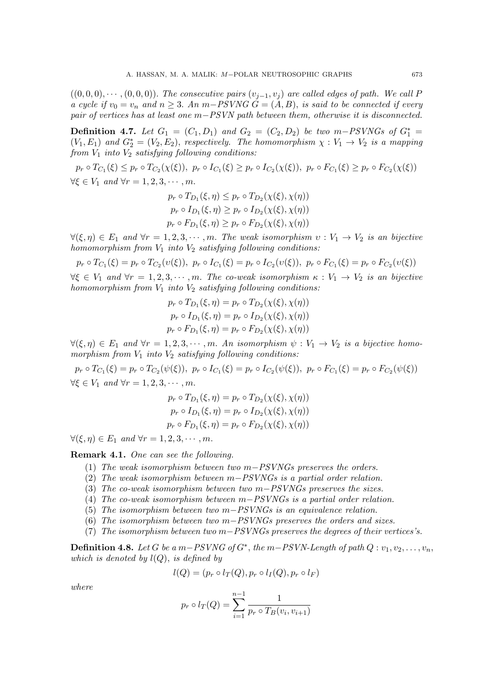$((0,0,0),\cdots,(0,0,0))$ . The consecutive pairs  $(v_{i-1},v_i)$  are called edges of path. We call P a cycle if  $v_0 = v_n$  and  $n \geq 3$ . An m–PSVNG  $G = (A, B)$ , is said to be connected if every pair of vertices has at least one m–PSVN path between them, otherwise it is disconnected.

**Definition 4.7.** Let  $G_1 = (C_1, D_1)$  and  $G_2 = (C_2, D_2)$  be two m-PSVNGs of  $G_1^* =$  $(V_1, E_1)$  and  $G_2^* = (V_2, E_2)$ , respectively. The homomorphism  $\chi : V_1 \to V_2$  is a mapping from  $V_1$  into  $V_2$  satisfying following conditions:

 $p_r \circ T_{C_1}(\xi) \leq p_r \circ T_{C_2}(\chi(\xi))$ ,  $p_r \circ I_{C_1}(\xi) \geq p_r \circ I_{C_2}(\chi(\xi))$ ,  $p_r \circ F_{C_1}(\xi) \geq p_r \circ F_{C_2}(\chi(\xi))$  $\forall \xi \in V_1$  and  $\forall r = 1, 2, 3, \cdots, m$ .

$$
p_r \circ T_{D_1}(\xi, \eta) \leq p_r \circ T_{D_2}(\chi(\xi), \chi(\eta))
$$
  
\n
$$
p_r \circ I_{D_1}(\xi, \eta) \geq p_r \circ I_{D_2}(\chi(\xi), \chi(\eta))
$$
  
\n
$$
p_r \circ F_{D_1}(\xi, \eta) \geq p_r \circ F_{D_2}(\chi(\xi), \chi(\eta))
$$

 $\forall (\xi, \eta) \in E_1$  and  $\forall r = 1, 2, 3, \cdots, m$ . The weak isomorphism  $v : V_1 \to V_2$  is an bijective homomorphism from  $V_1$  into  $V_2$  satisfying following conditions:

 $p_r \circ T_{C_1}(\xi) = p_r \circ T_{C_2}(v(\xi)),\ p_r \circ I_{C_1}(\xi) = p_r \circ I_{C_2}(v(\xi)),\ p_r \circ F_{C_1}(\xi) = p_r \circ F_{C_2}(v(\xi))$  $\forall \xi \in V_1$  and  $\forall r = 1, 2, 3, \cdots, m$ . The co-weak isomorphism  $\kappa : V_1 \to V_2$  is an bijective homomorphism from  $V_1$  into  $V_2$  satisfying following conditions:

$$
p_r \circ T_{D_1}(\xi, \eta) = p_r \circ T_{D_2}(\chi(\xi), \chi(\eta))
$$
  
\n
$$
p_r \circ I_{D_1}(\xi, \eta) = p_r \circ I_{D_2}(\chi(\xi), \chi(\eta))
$$
  
\n
$$
p_r \circ F_{D_1}(\xi, \eta) = p_r \circ F_{D_2}(\chi(\xi), \chi(\eta))
$$

 $\forall (\xi, \eta) \in E_1$  and  $\forall r = 1, 2, 3, \cdots, m$ . An isomorphism  $\psi : V_1 \to V_2$  is a bijective homomorphism from  $V_1$  into  $V_2$  satisfying following conditions:

 $p_r \circ T_{C_1}(\xi) = p_r \circ T_{C_2}(\psi(\xi)),\ p_r \circ I_{C_1}(\xi) = p_r \circ I_{C_2}(\psi(\xi)),\ p_r \circ F_{C_1}(\xi) = p_r \circ F_{C_2}(\psi(\xi))$  $\forall \xi \in V_1$  and  $\forall r = 1, 2, 3, \cdots, m$ .

$$
p_r \circ T_{D_1}(\xi, \eta) = p_r \circ T_{D_2}(\chi(\xi), \chi(\eta))
$$
  
\n
$$
p_r \circ I_{D_1}(\xi, \eta) = p_r \circ I_{D_2}(\chi(\xi), \chi(\eta))
$$
  
\n
$$
p_r \circ F_{D_1}(\xi, \eta) = p_r \circ F_{D_2}(\chi(\xi), \chi(\eta))
$$

 $\forall (\xi, \eta) \in E_1$  and  $\forall r = 1, 2, 3, \cdots, m$ .

Remark 4.1. One can see the following.

- (1) The weak isomorphism between two m−PSVNGs preserves the orders.
- (2) The weak isomorphism between m−PSVNGs is a partial order relation.
- (3) The co-weak isomorphism between two m−PSVNGs preserves the sizes.
- (4) The co-weak isomorphism between m−PSVNGs is a partial order relation.
- (5) The isomorphism between two m−PSVNGs is an equivalence relation.
- (6) The isomorphism between two m−PSVNGs preserves the orders and sizes.
- (7) The isomorphism between two m−PSVNGs preserves the degrees of their vertices's.

**Definition 4.8.** Let G be a m–PSVNG of  $G^*$ , the m–PSVN-Length of path  $Q: v_1, v_2, \ldots, v_n$ , which is denoted by  $l(Q)$ , is defined by

$$
l(Q) = (p_r \circ l_T(Q), p_r \circ l_I(Q), p_r \circ l_F)
$$

where

$$
p_r \circ l_T(Q) = \sum_{i=1}^{n-1} \frac{1}{p_r \circ T_B(v_i, v_{i+1})}
$$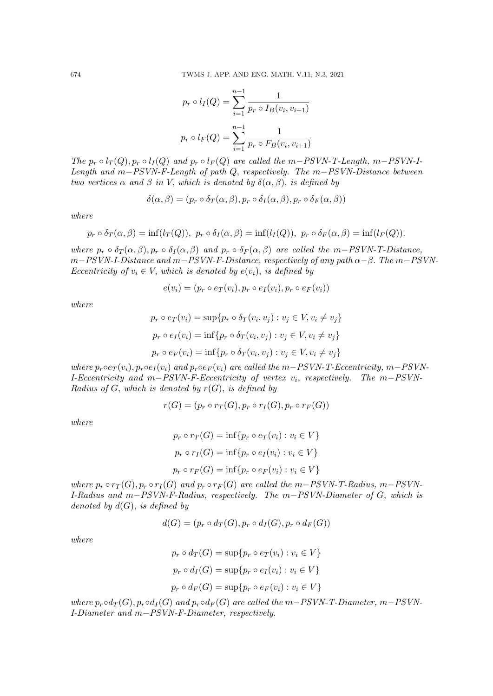$$
p_r \circ l_I(Q) = \sum_{i=1}^{n-1} \frac{1}{p_r \circ I_B(v_i, v_{i+1})}
$$

$$
p_r \circ l_F(Q) = \sum_{i=1}^{n-1} \frac{1}{p_r \circ F_B(v_i, v_{i+1})}
$$

The  $p_r \circ l_T(Q), p_r \circ l_I(Q)$  and  $p_r \circ l_F(Q)$  are called the m-PSVN-T-Length, m-PSVN-I-Length and m−PSVN-F-Length of path Q, respectively. The m−PSVN-Distance between two vertices  $\alpha$  and  $\beta$  in V, which is denoted by  $\delta(\alpha, \beta)$ , is defined by

$$
\delta(\alpha,\beta) = (p_r \circ \delta_T(\alpha,\beta), p_r \circ \delta_I(\alpha,\beta), p_r \circ \delta_F(\alpha,\beta))
$$

where

$$
p_r \circ \delta_T(\alpha, \beta) = \inf(l_T(Q)), \ p_r \circ \delta_I(\alpha, \beta) = \inf(l_I(Q)), \ p_r \circ \delta_F(\alpha, \beta) = \inf(l_F(Q)).
$$

where  $p_r \circ \delta_T(\alpha, \beta), p_r \circ \delta_I(\alpha, \beta)$  and  $p_r \circ \delta_F(\alpha, \beta)$  are called the m-PSVN-T-Distance, m−PSVN-I-Distance and m−PSVN-F-Distance, respectively of any path  $\alpha-\beta$ . The m−PSVN-Eccentricity of  $v_i \in V$ , which is denoted by  $e(v_i)$ , is defined by

$$
e(v_i) = (p_r \circ e_T(v_i), p_r \circ e_T(v_i), p_r \circ e_F(v_i))
$$

where

$$
p_r \circ e_T(v_i) = \sup\{p_r \circ \delta_T(v_i, v_j) : v_j \in V, v_i \neq v_j\}
$$

$$
p_r \circ e_T(v_i) = \inf\{p_r \circ \delta_T(v_i, v_j) : v_j \in V, v_i \neq v_j\}
$$

$$
p_r \circ e_F(v_i) = \inf\{p_r \circ \delta_T(v_i, v_j) : v_j \in V, v_i \neq v_j\}
$$

where  $p_r \circ e_T(v_i)$ ,  $p_r \circ e_I(v_i)$  and  $p_r \circ e_F(v_i)$  are called the m–PSVN-T-Eccentricity, m–PSVN-I-Eccentricity and  $m-PSVN-F-Eccentricity$  of vertex  $v_i$ , respectively. The  $m-PSVN$ -Radius of G, which is denoted by  $r(G)$ , is defined by

$$
r(G) = (p_r \circ r_T(G), p_r \circ r_I(G), p_r \circ r_F(G))
$$

where

$$
p_r \circ r_T(G) = \inf \{ p_r \circ e_T(v_i) : v_i \in V \}
$$

$$
p_r \circ r_I(G) = \inf \{ p_r \circ e_I(v_i) : v_i \in V \}
$$

$$
p_r \circ r_F(G) = \inf \{ p_r \circ e_F(v_i) : v_i \in V \}
$$

where  $p_r \circ r_T(G), p_r \circ r_I(G)$  and  $p_r \circ r_F(G)$  are called the m-PSVN-T-Radius, m-PSVN-I-Radius and m−PSVN-F-Radius, respectively. The m−PSVN-Diameter of G, which is denoted by  $d(G)$ , is defined by

$$
d(G) = (p_r \circ d_T(G), p_r \circ d_I(G), p_r \circ d_F(G))
$$

where

$$
p_r \circ d_T(G) = \sup\{p_r \circ e_T(v_i) : v_i \in V\}
$$

$$
p_r \circ d_I(G) = \sup\{p_r \circ e_I(v_i) : v_i \in V\}
$$

$$
p_r \circ d_F(G) = \sup\{p_r \circ e_F(v_i) : v_i \in V\}
$$

where  $p_r \circ d_T(G)$ ,  $p_r \circ d_I(G)$  and  $p_r \circ d_F(G)$  are called the m–PSVN-T-Diameter, m–PSVN-I-Diameter and m−PSVN-F-Diameter, respectively.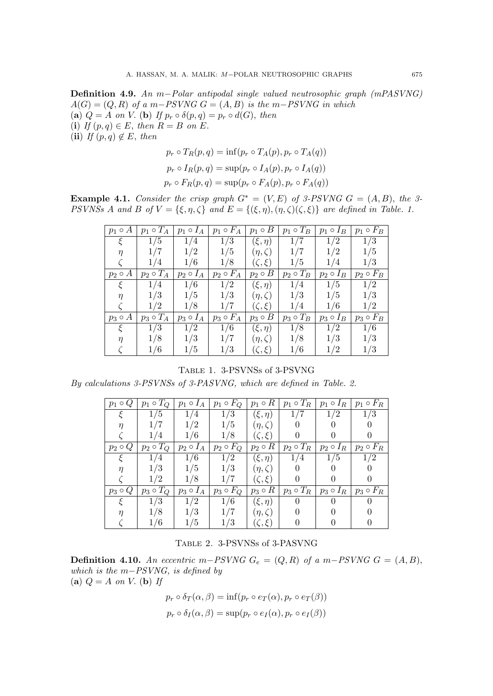Definition 4.9. An m−Polar antipodal single valued neutrosophic graph (mPASVNG)  $A(G) = (Q, R)$  of a m−PSVNG  $G = (A, B)$  is the m−PSVNG in which (a)  $Q = A$  on V. (b) If  $p_r \circ \delta(p, q) = p_r \circ d(G)$ , then (i) If  $(p, q) \in E$ , then  $R = B$  on E. (ii) If  $(p, q) \notin E$ , then

$$
p_r \circ T_R(p,q) = \inf(p_r \circ T_A(p), p_r \circ T_A(q))
$$
  
\n
$$
p_r \circ I_R(p,q) = \sup(p_r \circ I_A(p), p_r \circ I_A(q))
$$
  
\n
$$
p_r \circ F_R(p,q) = \sup(p_r \circ F_A(p), p_r \circ F_A(q))
$$

**Example 4.1.** Consider the crisp graph  $G^* = (V, E)$  of 3-PSVNG  $G = (A, B)$ , the 3-PSVNSs A and B of  $V = \{\xi, \eta, \zeta\}$  and  $E = \{(\xi, \eta), (\eta, \zeta)(\zeta, \xi)\}\$ are defined in Table. 1.

| $p_1 \circ A$ | $p_1 \circ T_A$ | $p_1 \circ I_A$ | $p_1 \circ F_A$ | $p_1 \circ B$  | $p_1 \circ T_B$ | $p_1 \circ I_B$ | $p_1 \circ F_B$ |
|---------------|-----------------|-----------------|-----------------|----------------|-----------------|-----------------|-----------------|
| ξ             | 1/5             | 1/4             | 1/3             | $(\xi, \eta)$  | 1/7             | 1/2             | 1/3             |
| $\eta$        | 1/7             | 1/2             | 1/5             | $(\eta,\zeta)$ | 1/7             | 1/2             | 1/5             |
|               | 1/4             | 1/6             | 1/8             | $(\zeta,\xi)$  | 1/5             | 1/4             | 1/3             |
| $p_2 \circ A$ | $p_2 \circ T_A$ | $p_2 \circ I_A$ | $p_2 \circ F_A$ | $p_2 \circ B$  | $p_2 \circ T_B$ | $p_2 \circ I_B$ | $p_2 \circ F_B$ |
| ξ             | 1/4             | 1/6             | 1/2             | $(\xi, \eta)$  | 1/4             | 1/5             | 1/2             |
| $\eta$        | 1/3             | 1/5             | 1/3             | $(\eta,\zeta)$ | 1/3             | 1/5             | 1/3             |
|               | 1/2             | 1/8             | 1/7             | $(\zeta,\xi)$  | 1/4             | 1/6             | 1/2             |
| $p_3 \circ A$ | $p_3 \circ T_A$ | $p_3 \circ I_A$ | $p_3 \circ F_A$ | $p_3 \circ B$  | $p_3 \circ T_B$ | $p_3 \circ I_B$ | $p_3 \circ F_B$ |
| ξ             | 1/3             | 1/2             | 1/6             | $(\xi, \eta)$  | 1/8             | 1/2             | 1/6             |
| $\eta$        | 1/8             | 1/3             | 1/7             | $(\eta,\zeta)$ | 1/8             | 1/3             | 1/3             |
|               | 1/6             | 1/5             | 1/3             | $(\zeta,\xi)$  | 1/6             | 1/2             | 1/3             |

Table 1. 3-PSVNSs of 3-PSVNG

By calculations 3-PSVNSs of 3-PASVNG, which are defined in Table. 2.

| $p_1 \circ Q$ | $p_1 \circ T_Q$ | $p_1 \circ I_A$ | $p_1 \circ F_Q$ | $p_1 \circ R$   | $p_1 \circ T_R$ | $p_1 \circ I_R$        | $p_1 \circ F_R$ |
|---------------|-----------------|-----------------|-----------------|-----------------|-----------------|------------------------|-----------------|
|               | 1/5             | 1/4             | 1/3             | $(\xi, \eta)$   | 1/7             | 1/2                    | 1/3             |
|               | 1/7             | 1/2             | 1/5             | $(\eta,\zeta)$  |                 |                        |                 |
|               | 1/4             | 1/6             | 1/8             | $(\zeta,\xi)$   |                 |                        |                 |
| $p_2 \circ Q$ | $p_2 \circ T_Q$ | $p_2 \circ I_A$ | $p_2 \circ F_Q$ | $p_2 \circ R$   | $p_2 \circ T_R$ | $\circ$ $I_R$<br>$p_2$ | $p_2 \circ F_R$ |
|               | 1/4             | 1/6             | 1/2             | $(\xi, \eta)$   | 1/4             | 1/5                    | 1/2             |
|               | 1/3             | 1/5             | 1/3             | $(\eta,\zeta)$  |                 |                        |                 |
|               | 1/2             | 1/8             | 1/7             | $(\zeta,\xi)$   |                 |                        |                 |
| $p_3 \circ Q$ | $p_3 \circ T_Q$ | $p_3 \circ I_A$ | $p_3 \circ F_Q$ | $p_3 \circ R$   | $p_3 \circ T_R$ | $p_3 \circ I_R$        | $p_3 \circ F_R$ |
|               | 1/3             | 1/2             | 1/6             | $(\xi, \eta)$   |                 |                        |                 |
|               | 1/8             | 1/3             | 1/7             | $(\eta,\zeta)$  |                 |                        |                 |
|               | /6              | 1/5             | 1/3             | $(\mathcal{E})$ |                 |                        |                 |

|  | TABLE 2. 3-PSVNSs of 3-PASVNG |
|--|-------------------------------|
|  |                               |

**Definition 4.10.** An eccentric m−PSVNG  $G_e = (Q, R)$  of a m−PSVNG  $G = (A, B)$ , which is the  $m-PSVNG$ , is defined by (a)  $Q = A$  on V. (b) If

$$
p_r \circ \delta_T(\alpha, \beta) = \inf(p_r \circ e_T(\alpha), p_r \circ e_T(\beta))
$$

$$
p_r \circ \delta_I(\alpha, \beta) = \sup(p_r \circ e_I(\alpha), p_r \circ e_I(\beta))
$$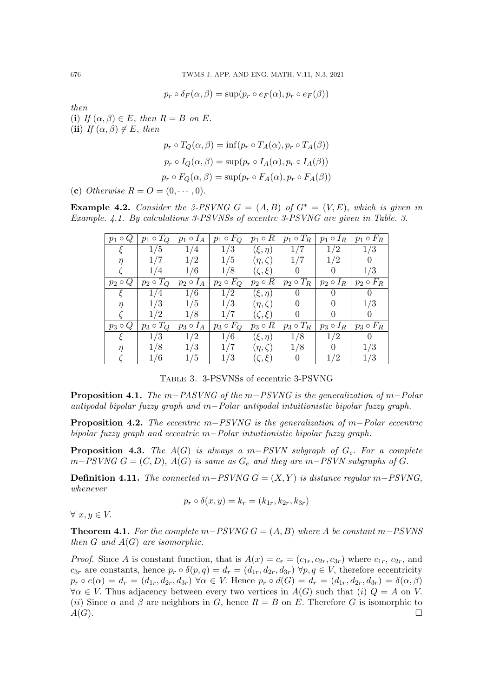$p_r \circ \delta_F(\alpha, \beta) = \sup(p_r \circ e_F(\alpha), p_r \circ e_F(\beta))$ 

then

(i) If  $(\alpha, \beta) \in E$ , then  $R = B$  on E. (ii) If  $(\alpha, \beta) \notin E$ , then

$$
p_r \circ T_Q(\alpha, \beta) = \inf (p_r \circ T_A(\alpha), p_r \circ T_A(\beta))
$$
  

$$
p_r \circ I_Q(\alpha, \beta) = \sup (p_r \circ I_A(\alpha), p_r \circ I_A(\beta))
$$
  

$$
p_r \circ F_Q(\alpha, \beta) = \sup (p_r \circ F_A(\alpha), p_r \circ F_A(\beta))
$$

(c) Otherwise  $R = O = (0, \dots, 0)$ .

**Example 4.2.** Consider the 3-PSVNG  $G = (A, B)$  of  $G^* = (V, E)$ , which is given in Example. 4.1. By calculations 3-PSVNSs of eccentrc 3-PSVNG are given in Table. 3.

| $p_1 \circ Q$    | $p_1 \circ T_Q$ | $p_1 \circ I_A$ | $p_1 \circ F_Q$ | $p_1 \circ R$  | $p_1 \circ T_R$ | $p_1 \circ I_R$ | $p_1 \circ F_R$ |
|------------------|-----------------|-----------------|-----------------|----------------|-----------------|-----------------|-----------------|
|                  | 1/5             | 1/4             | 1/3             | $(\xi, \eta)$  | 1/7             | 1/2             | 1/3             |
|                  | 1/7             | 1/2             | 1/5             | $(\eta,\zeta)$ | 1/7             | 1/2             |                 |
|                  | 1/4             | 1/6             | 1/8             | $(\zeta,\xi)$  |                 |                 | 1/3             |
| Q<br>$p_2 \circ$ | $p_2 \circ T_Q$ | $p_2 \circ I_A$ | $p_2 \circ F_Q$ | $p_2 \circ R$  | $p_2 \circ T_R$ | $p_2 \circ I_R$ | $p_2 \circ F_R$ |
|                  | 1/4             | 1/6             | 1/2             | $(\xi, \eta)$  |                 |                 |                 |
| п                | 1/3             | 1/5             | 1/3             | $(\eta,\zeta)$ |                 |                 | 1/3             |
|                  | 1/2             | 1/8             | 1/7             | $(\zeta,\xi)$  |                 |                 |                 |
| $p_3 \circ Q$    | $p_3 \circ T_Q$ | $p_3 \circ I_A$ | $p_3 \circ F_Q$ | $p_3 \circ R$  | $p_3 \circ T_R$ | $p_3 \circ I_R$ | $p_3 \circ F_R$ |
|                  | 1/3             | 1/2             | 1/6             | $(\xi, \eta)$  | 1/8             | 1/2             |                 |
|                  | 1/8             | 1/3             |                 | $(\eta,\zeta)$ | 1/8             |                 | 1/3             |
|                  | 1/6             | 1/5             | 1/3             | $(\zeta,\xi)$  |                 | 1/2             | 1/3             |

Table 3. 3-PSVNSs of eccentric 3-PSVNG

**Proposition 4.1.** The m–PASVNG of the m–PSVNG is the generalization of m–Polar antipodal bipolar fuzzy graph and m−Polar antipodal intuitionistic bipolar fuzzy graph.

**Proposition 4.2.** The eccentric m−PSVNG is the generalization of m–Polar eccentric bipolar fuzzy graph and eccentric m−Polar intuitionistic bipolar fuzzy graph.

**Proposition 4.3.** The  $A(G)$  is always a m–PSVN subgraph of  $G_e$ . For a complete  $m-PSVNG G = (C, D), A(G)$  is same as  $G_e$  and they are  $m-PSVN$  subgraphs of G.

**Definition 4.11.** The connected  $m-PSVMG G = (X, Y)$  is distance regular  $m-PSVNG$ , whenever

$$
p_r \circ \delta(x, y) = k_r = (k_{1r}, k_{2r}, k_{3r})
$$

 $\forall x, y \in V.$ 

**Theorem 4.1.** For the complete m–PSVNG  $G = (A, B)$  where A be constant m–PSVNS then  $G$  and  $A(G)$  are isomorphic.

*Proof.* Since A is constant function, that is  $A(x) = c_r = (c_{1r}, c_{2r}, c_{3r})$  where  $c_{1r}, c_{2r}$ , and  $c_{3r}$  are constants, hence  $p_r \circ \delta(p,q) = d_r = (d_{1r}, d_{2r}, d_{3r}) \forall p,q \in V$ , therefore eccentricity  $p_r \circ e(\alpha) = d_r = (d_{1r}, d_{2r}, d_{3r}) \ \forall \alpha \in V$ . Hence  $p_r \circ d(G) = d_r = (d_{1r}, d_{2r}, d_{3r}) = \delta(\alpha, \beta)$  $\forall \alpha \in V$ . Thus adjacency between every two vertices in  $A(G)$  such that (i)  $Q = A$  on V. (ii) Since  $\alpha$  and  $\beta$  are neighbors in G, hence  $R = B$  on E. Therefore G is isomorphic to  $A(G)$ .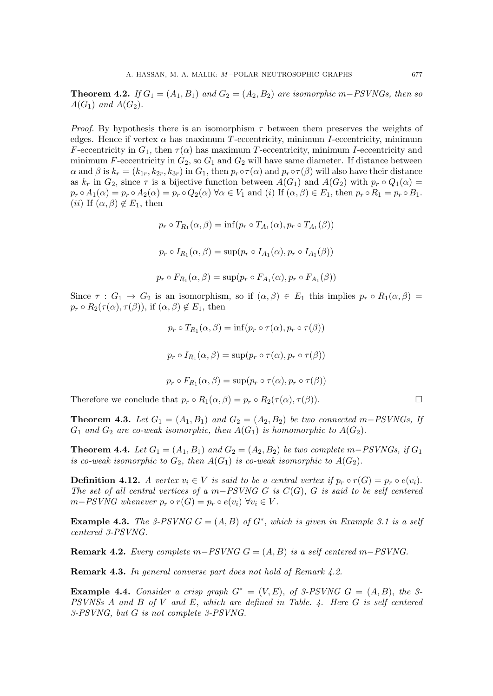**Theorem 4.2.** If  $G_1 = (A_1, B_1)$  and  $G_2 = (A_2, B_2)$  are isomorphic m–PSVNGs, then so  $A(G_1)$  and  $A(G_2)$ .

*Proof.* By hypothesis there is an isomorphism  $\tau$  between them preserves the weights of edges. Hence if vertex  $\alpha$  has maximum T-eccentricity, minimum I-eccentricity, minimum F-eccentricity in  $G_1$ , then  $\tau(\alpha)$  has maximum T-eccentricity, minimum I-eccentricity and minimum F-eccentricity in  $G_2$ , so  $G_1$  and  $G_2$  will have same diameter. If distance between  $\alpha$  and  $\beta$  is  $k_r = (k_{1r}, k_{2r}, k_{3r})$  in  $G_1$ , then  $p_r \circ \tau(\alpha)$  and  $p_r \circ \tau(\beta)$  will also have their distance as  $k_r$  in  $G_2$ , since  $\tau$  is a bijective function between  $A(G_1)$  and  $A(G_2)$  with  $p_r \circ Q_1(\alpha) =$  $p_r \circ A_1(\alpha) = p_r \circ A_2(\alpha) = p_r \circ Q_2(\alpha) \,\forall \alpha \in V_1 \text{ and } (i) \text{ If } (\alpha, \beta) \in E_1 \text{, then } p_r \circ R_1 = p_r \circ B_1.$ (*ii*) If  $(\alpha, \beta) \notin E_1$ , then

$$
p_r \circ T_{R_1}(\alpha, \beta) = \inf(p_r \circ T_{A_1}(\alpha), p_r \circ T_{A_1}(\beta))
$$
  

$$
p_r \circ I_{R_1}(\alpha, \beta) = \sup(p_r \circ I_{A_1}(\alpha), p_r \circ I_{A_1}(\beta))
$$
  

$$
p_r \circ F_{R_1}(\alpha, \beta) = \sup(p_r \circ F_{A_1}(\alpha), p_r \circ F_{A_1}(\beta))
$$

Since  $\tau : G_1 \to G_2$  is an isomorphism, so if  $(\alpha, \beta) \in E_1$  this implies  $p_r \circ R_1(\alpha, \beta) =$  $p_r \circ R_2(\tau(\alpha), \tau(\beta))$ , if  $(\alpha, \beta) \notin E_1$ , then

$$
p_r \circ T_{R_1}(\alpha, \beta) = \inf (p_r \circ \tau(\alpha), p_r \circ \tau(\beta))
$$
  

$$
p_r \circ I_{R_1}(\alpha, \beta) = \sup (p_r \circ \tau(\alpha), p_r \circ \tau(\beta))
$$
  

$$
p_r \circ F_{R_1}(\alpha, \beta) = \sup (p_r \circ \tau(\alpha), p_r \circ \tau(\beta))
$$

Therefore we conclude that  $p_r \circ R_1(\alpha, \beta) = p_r \circ R_2(\tau(\alpha), \tau(\beta)).$ 

**Theorem 4.3.** Let  $G_1 = (A_1, B_1)$  and  $G_2 = (A_2, B_2)$  be two connected m–PSVNGs, If  $G_1$  and  $G_2$  are co-weak isomorphic, then  $A(G_1)$  is homomorphic to  $A(G_2)$ .

**Theorem 4.4.** Let  $G_1 = (A_1, B_1)$  and  $G_2 = (A_2, B_2)$  be two complete m–PSVNGs, if  $G_1$ is co-weak isomorphic to  $G_2$ , then  $A(G_1)$  is co-weak isomorphic to  $A(G_2)$ .

**Definition 4.12.** A vertex  $v_i \in V$  is said to be a central vertex if  $p_r \circ r(G) = p_r \circ e(v_i)$ . The set of all central vertices of a m−PSVNG G is  $C(G)$ , G is said to be self centered  $m-PSVNG$  whenever  $p_r \circ r(G) = p_r \circ e(v_i) \ \forall v_i \in V$ .

**Example 4.3.** The 3-PSVNG  $G = (A, B)$  of  $G^*$ , which is given in Example 3.1 is a self centered 3-PSVNG.

**Remark 4.2.** Every complete m–PSVNG  $G = (A, B)$  is a self centered m–PSVNG.

Remark 4.3. In general converse part does not hold of Remark 4.2.

**Example 4.4.** Consider a crisp graph  $G^* = (V, E)$ , of 3-PSVNG  $G = (A, B)$ , the 3-PSVNSs A and B of V and E, which are defined in Table. 4. Here G is self centered 3-PSVNG, but G is not complete 3-PSVNG.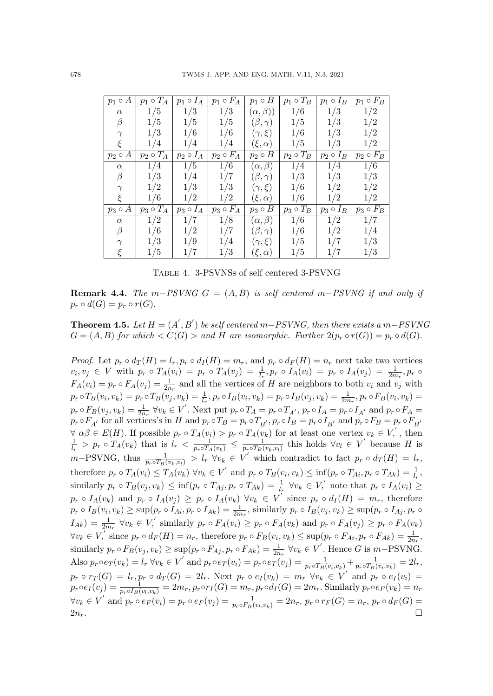| $p_1 \circ A$ | $p_1 \circ T_A$ | $p_1 \circ I_A$ | $p_1 \circ F_A$ | $p_1 \circ B$     | $p_1 \circ T_B$ | $p_1 \circ I_B$ | $p_1 \circ F_B$ |
|---------------|-----------------|-----------------|-----------------|-------------------|-----------------|-----------------|-----------------|
| $\alpha$      | 1/5             | 1/3             | 1/3             | $(\alpha, \beta)$ | 1/6             | 1/3             | 1/2             |
| $\beta$       | 1/5             | 1/5             | 1/5             | $(\beta, \gamma)$ | 1/5             | 1/3             | 1/2             |
| $\gamma$      | 1/3             | 1/6             | 1/6             | $(\gamma,\xi)$    | 1/6             | 1/3             | 1/2             |
| $\xi$         | 1/4             | 1/4             | 1/4             | $(\xi,\alpha)$    | 1/5             | 1/3             | 1/2             |
| $p_2 \circ A$ | $p_2 \circ T_A$ | $p_2 \circ I_A$ | $p_2 \circ F_A$ | $p_2 \circ B$     | $p_2 \circ T_B$ | $p_2 \circ I_B$ | $p_2 \circ F_B$ |
| $\alpha$      | 1/4             | 1/5             | 1/6             | $(\alpha, \beta)$ | 1/4             | 1/4             | 1/6             |
| $\beta$       | 1/3             | 1/4             | 1/7             | $(\beta, \gamma)$ | 1/3             | 1/3             | 1/3             |
| $\gamma$      | 1/2             | 1/3             | 1/3             | $(\gamma,\xi)$    | 1/6             | 1/2             | 1/2             |
| ξ             | 1/6             | 1/2             | 1/2             | $(\xi,\alpha)$    | 1/6             | 1/2             | 1/2             |
| $p_3 \circ A$ | $p_3 \circ T_A$ | $p_3 \circ I_A$ | $p_3 \circ F_A$ | $p_3 \circ B$     | $p_3 \circ T_B$ | $p_3 \circ I_B$ | $p_3 \circ F_B$ |
| $\alpha$      | 1/2             | 1/7             | 1/8             | $(\alpha, \beta)$ | 1/6             | 1/2             | 1/7             |
| $\beta$       | 1/6             | 1/2             | 1/7             | $(\beta, \gamma)$ | 1/6             | 1/2             | 1/4             |
| $\gamma$      | 1/3             | 1/9             | 1/4             | $(\gamma,\xi)$    | 1/5             | 1/7             | 1/3             |
| ξ             | 1/5             | 1/7             | 1/3             | $(\xi,\alpha)$    | 1/5             | 1/7             | 1/3             |

Table 4. 3-PSVNSs of self centered 3-PSVNG

**Remark 4.4.** The m–PSVNG  $G = (A, B)$  is self centered m–PSVNG if and only if  $p_r \circ d(G) = p_r \circ r(G).$ 

**Theorem 4.5.** Let  $H = (A', B')$  be self centered m–PSVNG, then there exists a m–PSVNG  $G = (A, B)$  for which  $\langle C(G) \rangle$  and H are isomorphic. Further  $2(p_r \circ r(G)) = p_r \circ d(G)$ .

*Proof.* Let  $p_r \circ d_T(H) = l_r, p_r \circ d_I(H) = m_r$ , and  $p_r \circ d_F(H) = n_r$  next take two vertices  $v_i, v_j \in V$  with  $p_r \circ T_A(v_i) = p_r \circ T_A(v_j) = \frac{1}{l_r}, p_r \circ I_A(v_i) = p_r \circ I_A(v_j) = \frac{1}{2m_r}, p_r \circ I_A(v_j) = \frac{1}{l_r}$  $F_A(v_i) = p_r \circ F_A(v_j) = \frac{1}{2n_r}$  and all the vertices of H are neighbors to both  $v_i$  and  $v_j$  with  $p_r \circ T_B(v_i, v_k) = p_r \circ T_B(v_j, v_k) = \frac{1}{l_r}, p_r \circ I_B(v_i, v_k) = p_r \circ I_B(v_j, v_k) = \frac{1}{2m_r}, p_r \circ F_B(v_i, v_k) =$  $p_r \circ F_B(v_j, v_k) = \frac{1}{2n_r} \ \forall v_k \in V'.$  Next put  $p_r \circ T_A = p_r \circ T_{A'}$ ,  $p_r \circ I_A = p_r \circ I_{A'}$  and  $p_r \circ F_A =$  $p_r \circ F_{A'}$  for all vertices's in H and  $p_r \circ T_B = p_r \circ T_{B'}$ ,  $p_r \circ I_B = p_r \circ I_{B'}$  and  $p_r \circ F_B = p_r \circ F_{B'}$  $\forall \alpha \beta \in E(H)$ . If possible  $p_r \circ T_A(v_i) > p_r \circ T_A(v_k)$  for at least one vertex  $v_k \in V$ , then 1  $\frac{1}{l_r}$  >  $p_r \circ T_A(v_k)$  that is  $l_r < \frac{1}{p_r \circ T_A(v_k)} \leq \frac{1}{p_r \circ T_B(v_k)}$  $\frac{1}{p_r \circ T_B(v_k, v_l)}$  this holds  $\forall v_l \in V'$  because H is  $m-\text{PSVNG}$ , thus  $\frac{1}{p_r \circ T_B(v_k, v_l)} > l_r \ \forall v_k \in V'$  which contradict to fact  $p_r \circ d_T(H) = l_r$ , therefore  $p_r \circ T_A(v_i) \leq T_A(v_k)$   $\forall v_k \in V'$  and  $p_r \circ T_B(v_i, v_k) \leq \inf (p_r \circ T_{Ai}, p_r \circ T_{Ak}) = \frac{1}{k}$ similarly  $p_r \circ T_A(v_i) \leq T_A(v_k)$   $\forall v_k \in V$  and  $p_r \circ T_B(v_i, v_k) \leq \min(p_r \circ T_{Ai}, p_r \circ T_{Ai}) = \frac{1}{l_r}$ <br>similarly  $p_r \circ T_B(v_j, v_k) \leq \inf(p_r \circ T_{Ai}, p_r \circ T_{Ak}) = \frac{1}{l_r}$   $\forall v_k \in V$ , note that  $p_r \circ I_A(v_i) \geq$  $p_r \circ I_A(v_k)$  and  $p_r \circ I_A(v_j) \geq p_r \circ I_A(v_k)$   $\forall v_k \in V'$  since  $p_r \circ d_I(H) = m_r$ , therefore  $p_r \circ I_B(v_i, v_k) \ge \sup(p_r \circ I_{Ai}, p_r \circ I_{Ak}) = \frac{1}{2m_r}$ , similarly  $p_r \circ I_B(v_j, v_k) \ge \sup(p_r \circ I_{Aj}, p_r \circ I_{Aaj})$  $I_{Ak}) = \frac{1}{2m_r} \ \forall v_k \in V,$ ' similarly  $p_r \circ F_A(v_i) \geq p_r \circ F_A(v_k)$  and  $p_r \circ F_A(v_j) \geq p_r \circ F_A(v_k)$  $\forall v_k \in V, \text{ since } p_r \circ d_F(H) = n_r, \text{ therefore } p_r \circ F_B(v_i, v_k) \le \sup(p_r \circ F_{Ai}, p_r \circ F_{Ak}) = \frac{1}{2n_r},$ similarly  $p_r \circ F_B(v_j, v_k) \ge \sup(p_r \circ F_{Aj}, p_r \circ F_{Ak}) = \frac{1}{2n_r} \ \forall v_k \in V'$ . Hence G is  $m-\text{PSVNG}$ . Also  $p_r \circ e_T(v_k) = l_r \ \forall v_k \in V'$  and  $p_r \circ e_T(v_i) = p_r \circ e_T(v_j) = \frac{1}{p_r \circ T_B(v_i, v_k)} + \frac{1}{p_r \circ T_B(v_i, v_k)} = 2l_r$  $p_r \circ r_T(G) = l_r, p_r \circ d_T(G) = 2l_r.$  Next  $p_r \circ e_I(v_k) = m_r \,\,\forall v_k \in V'$  and  $p_r \circ e_I(v_i) =$  $p_r \circ e_I(v_j) = \frac{1}{p_r \circ I_B(v_l, v_k)} = 2m_r, p_r \circ r_I(G) = m_r, p_r \circ d_I(G) = 2m_r.$  Similarly  $p_r \circ e_F(v_k) = n_r$  $\forall v_k \in V'$  and  $p_r \circ e_F(v_i) = p_r \circ e_F(v_j) = \frac{1}{p_r \circ F_B(v_i, v_k)} = 2n_r$ ,  $p_r \circ r_F(G) = n_r$ ,  $p_r \circ d_F(G) =$  $2n_r$ .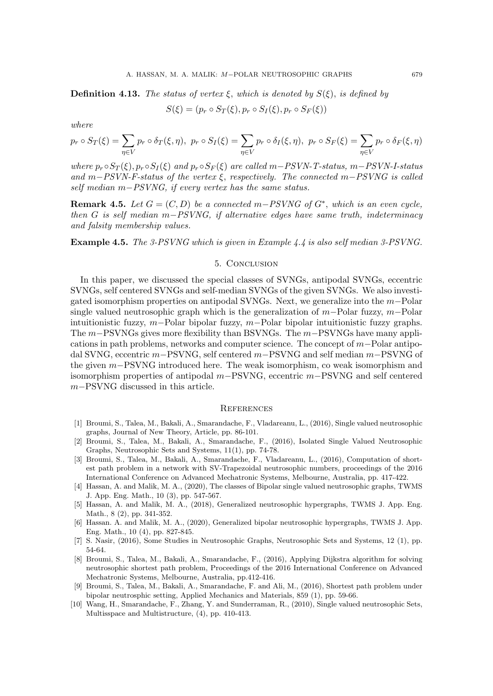**Definition 4.13.** The status of vertex  $\xi$ , which is denoted by  $S(\xi)$ , is defined by

$$
S(\xi) = (p_r \circ S_T(\xi), p_r \circ S_I(\xi), p_r \circ S_F(\xi))
$$

where

$$
p_r \circ S_T(\xi) = \sum_{\eta \in V} p_r \circ \delta_T(\xi, \eta), \ p_r \circ S_I(\xi) = \sum_{\eta \in V} p_r \circ \delta_I(\xi, \eta), \ p_r \circ S_F(\xi) = \sum_{\eta \in V} p_r \circ \delta_F(\xi, \eta)
$$

where  $p_r \circ S_T(\xi)$ ,  $p_r \circ S_I(\xi)$  and  $p_r \circ S_F(\xi)$  are called m–PSVN-T-status, m–PSVN-I-status and m–PSVN-F-status of the vertex  $\xi$ , respectively. The connected m–PSVNG is called self median m−PSVNG, if every vertex has the same status.

**Remark 4.5.** Let  $G = (C, D)$  be a connected m–PSVNG of  $G^*$ , which is an even cycle, then G is self median m−PSVNG, if alternative edges have same truth, indeterminacy and falsity membership values.

Example 4.5. The 3-PSVNG which is given in Example 4.4 is also self median 3-PSVNG.

#### 5. Conclusion

In this paper, we discussed the special classes of SVNGs, antipodal SVNGs, eccentric SVNGs, self centered SVNGs and self-median SVNGs of the given SVNGs. We also investigated isomorphism properties on antipodal SVNGs. Next, we generalize into the  $m-\text{Polar}$ single valued neutrosophic graph which is the generalization of  $m-Polar fuzzy$ ,  $m-Polar$ intuitionistic fuzzy, m−Polar bipolar fuzzy, m−Polar bipolar intuitionistic fuzzy graphs. The m–PSVNGs gives more flexibility than BSVNGs. The m–PSVNGs have many applications in path problems, networks and computer science. The concept of  $m-Polar$  antipodal SVNG, eccentric m−PSVNG, self centered m−PSVNG and self median m−PSVNG of the given m−PSVNG introduced here. The weak isomorphism, co weak isomorphism and isomorphism properties of antipodal  $m-PSV\overline{N}G$ , eccentric  $m-PSV\overline{N}G$  and self centered m−PSVNG discussed in this article.

#### **REFERENCES**

- [1] Broumi, S., Talea, M., Bakali, A., Smarandache, F., Vladareanu, L., (2016), Single valued neutrosophic graphs, Journal of New Theory, Article, pp. 86-101.
- [2] Broumi, S., Talea, M., Bakali, A., Smarandache, F., (2016), Isolated Single Valued Neutrosophic Graphs, Neutrosophic Sets and Systems, 11(1), pp. 74-78.
- [3] Broumi, S., Talea, M., Bakali, A., Smarandache, F., Vladareanu, L., (2016), Computation of shortest path problem in a network with SV-Trapezoidal neutrosophic numbers, proceedings of the 2016 International Conference on Advanced Mechatronic Systems, Melbourne, Australia, pp. 417-422.
- [4] Hassan, A. and Malik, M. A., (2020), The classes of Bipolar single valued neutrosophic graphs, TWMS J. App. Eng. Math., 10 (3), pp. 547-567.
- [5] Hassan, A. and Malik, M. A., (2018), Generalized neutrosophic hypergraphs, TWMS J. App. Eng. Math., 8 (2), pp. 341-352.
- [6] Hassan. A. and Malik, M. A., (2020), Generalized bipolar neutrosophic hypergraphs, TWMS J. App. Eng. Math., 10 (4), pp. 827-845.
- [7] S. Nasir, (2016), Some Studies in Neutrosophic Graphs, Neutrosophic Sets and Systems, 12 (1), pp. 54-64.
- [8] Broumi, S., Talea, M., Bakali, A., Smarandache, F., (2016), Applying Dijkstra algorithm for solving neutrosophic shortest path problem, Proceedings of the 2016 International Conference on Advanced Mechatronic Systems, Melbourne, Australia, pp.412-416.
- [9] Broumi, S., Talea, M., Bakali, A., Smarandache, F. and Ali, M., (2016), Shortest path problem under bipolar neutrosphic setting, Applied Mechanics and Materials, 859 (1), pp. 59-66.
- [10] Wang, H., Smarandache, F., Zhang, Y. and Sunderraman, R., (2010), Single valued neutrosophic Sets, Multisspace and Multistructure, (4), pp. 410-413.